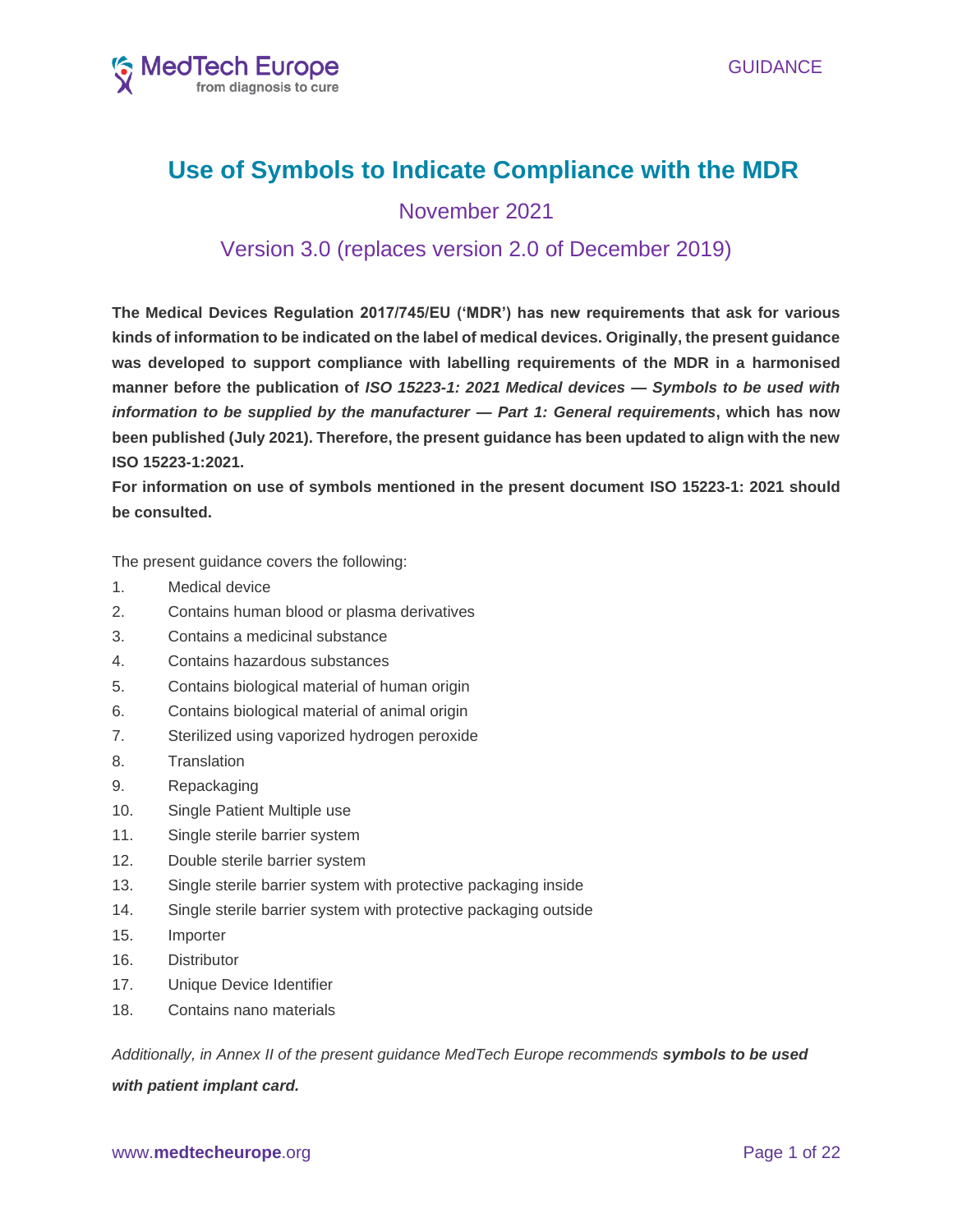

# **Use of Symbols to Indicate Compliance with the MDR**

November 2021

# Version 3.0 (replaces version 2.0 of December 2019)

**The Medical Devices Regulation 2017/745/EU ('MDR') has new requirements that ask for various kinds of information to be indicated on the label of medical devices. Originally, the present guidance was developed to support compliance with labelling requirements of the MDR in a harmonised manner before the publication of** *ISO 15223-1: 2021 Medical devices — Symbols to be used with information to be supplied by the manufacturer — Part 1: General requirements***, which has now been published (July 2021). Therefore, the present guidance has been updated to align with the new ISO 15223-1:2021.** 

**For information on use of symbols mentioned in the present document ISO 15223-1: 2021 should be consulted.**

The present guidance covers the following:

- 1. Medical device
- 2. Contains human blood or plasma derivatives
- 3. Contains a medicinal substance
- 4. Contains hazardous substances
- 5. Contains biological material of human origin
- 6. Contains biological material of animal origin
- 7. Sterilized using vaporized hydrogen peroxide
- 8. Translation
- 9. Repackaging
- 10. Single Patient Multiple use
- 11. Single sterile barrier system
- 12. Double sterile barrier system
- 13. Single sterile barrier system with protective packaging inside
- 14. Single sterile barrier system with protective packaging outside
- 15. Importer
- 16. Distributor
- 17. Unique Device Identifier
- 18. Contains nano materials

*Additionally, in Annex II of the present guidance MedTech Europe recommends symbols to be used*

### *with patient implant card.*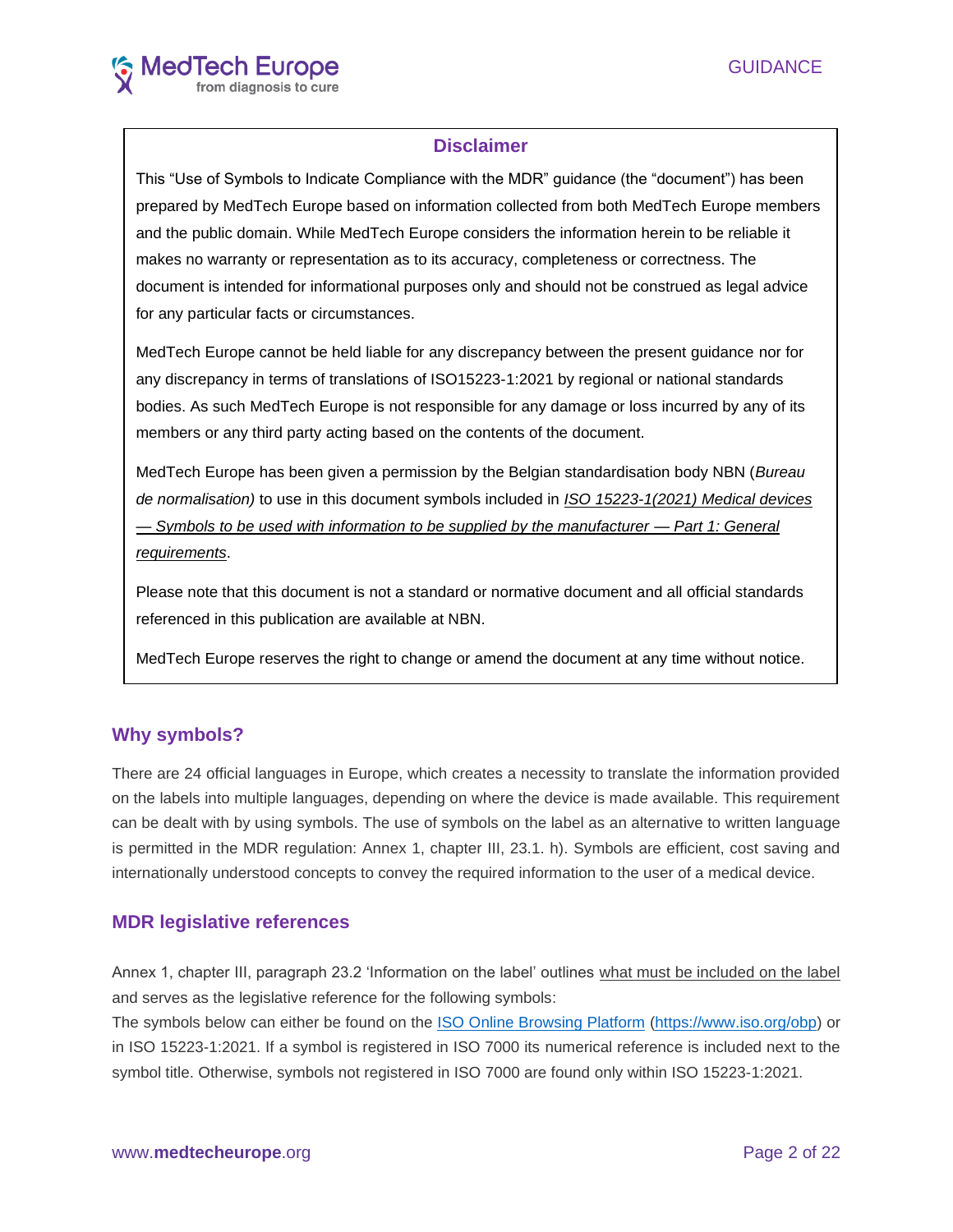# **Disclaimer**

This "Use of Symbols to Indicate Compliance with the MDR" guidance (the "document") has been prepared by MedTech Europe based on information collected from both MedTech Europe members and the public domain. While MedTech Europe considers the information herein to be reliable it makes no warranty or representation as to its accuracy, completeness or correctness. The document is intended for informational purposes only and should not be construed as legal advice for any particular facts or circumstances.

MedTech Europe cannot be held liable for any discrepancy between the present guidance nor for any discrepancy in terms of translations of ISO15223-1:2021 by regional or national standards bodies. As such MedTech Europe is not responsible for any damage or loss incurred by any of its members or any third party acting based on the contents of the document.

MedTech Europe has been given a permission by the Belgian standardisation body NBN (*Bureau de normalisation)* to use in this document symbols included in *ISO 15223-1(2021) Medical devices — Symbols to be used with information to be supplied by the manufacturer — Part 1: General requirements*.

Please note that this document is not a standard or normative document and all official standards referenced in this publication are available at NBN.

MedTech Europe reserves the right to change or amend the document at any time without notice.

# **Why symbols?**

There are 24 official languages in Europe, which creates a necessity to translate the information provided on the labels into multiple languages, depending on where the device is made available. This requirement can be dealt with by using symbols. The use of symbols on the label as an alternative to written language is permitted in the MDR regulation: Annex 1, chapter III, 23.1. h). Symbols are efficient, cost saving and internationally understood concepts to convey the required information to the user of a medical device.

# **MDR legislative references**

Annex 1, chapter III, paragraph 23.2 'Information on the label' outlines what must be included on the label and serves as the legislative reference for the following symbols:

The symbols below can either be found on the [ISO Online Browsing Platform](https://www.iso.org/obp/ui/#home) [\(https://www.iso.org/obp\)](https://www.iso.org/obp) or in ISO 15223-1:2021. If a symbol is registered in ISO 7000 its numerical reference is included next to the symbol title. Otherwise, symbols not registered in ISO 7000 are found only within ISO 15223-1:2021.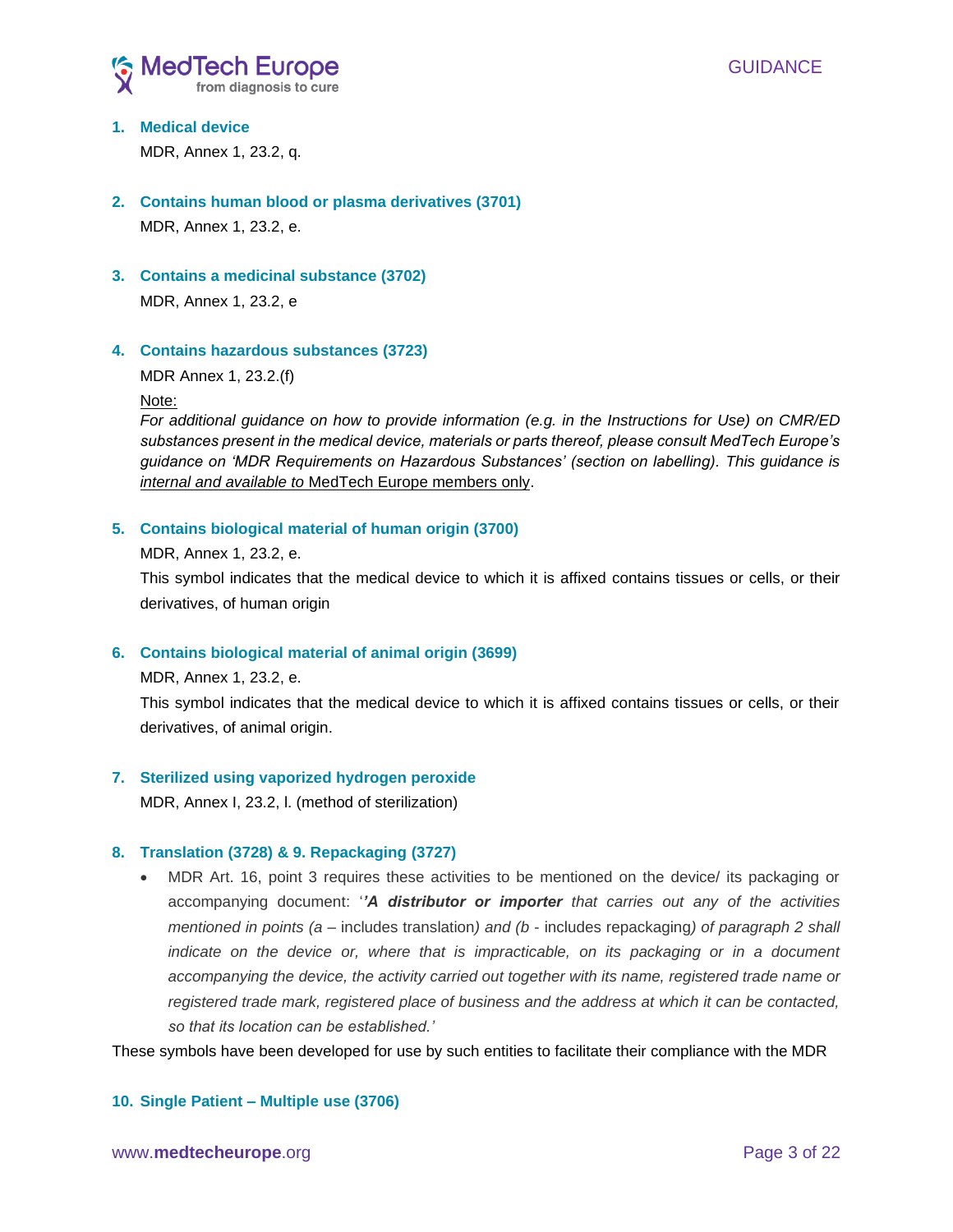

# **1. Medical device**

MDR, Annex 1, 23.2, q.

- **2. Contains human blood or plasma derivatives (3701)** MDR, Annex 1, 23.2, e.
- **3. Contains a medicinal substance (3702)**

MDR, Annex 1, 23.2, e

### **4. Contains hazardous substances (3723)**

MDR Annex 1, 23.2.(f)

Note:

*For additional guidance on how to provide information (e.g. in the Instructions for Use) on CMR/ED substances present in the medical device, materials or parts thereof, please consult MedTech Europe's guidance on 'MDR Requirements on Hazardous Substances' (section on labelling). This guidance is internal and available to* MedTech Europe members only.

### **5. Contains biological material of human origin (3700)**

MDR, Annex 1, 23.2, e.

This symbol indicates that the medical device to which it is affixed contains tissues or cells, or their derivatives, of human origin

### **6. Contains biological material of animal origin (3699)**

MDR, Annex 1, 23.2, e.

This symbol indicates that the medical device to which it is affixed contains tissues or cells, or their derivatives, of animal origin.

### **7. Sterilized using vaporized hydrogen peroxide**

MDR, Annex I, 23.2, l. (method of sterilization)

### **8. Translation (3728) & 9. Repackaging (3727)**

• MDR Art. 16, point 3 requires these activities to be mentioned on the device/ its packaging or accompanying document: '*'A distributor or importer that carries out any of the activities mentioned in points (a –* includes translation*) and (b* - includes repackaging*) of paragraph 2 shall indicate on the device or, where that is impracticable, on its packaging or in a document accompanying the device, the activity carried out together with its name, registered trade name or registered trade mark, registered place of business and the address at which it can be contacted, so that its location can be established.'*

These symbols have been developed for use by such entities to facilitate their compliance with the MDR

### **10. Single Patient – Multiple use (3706)**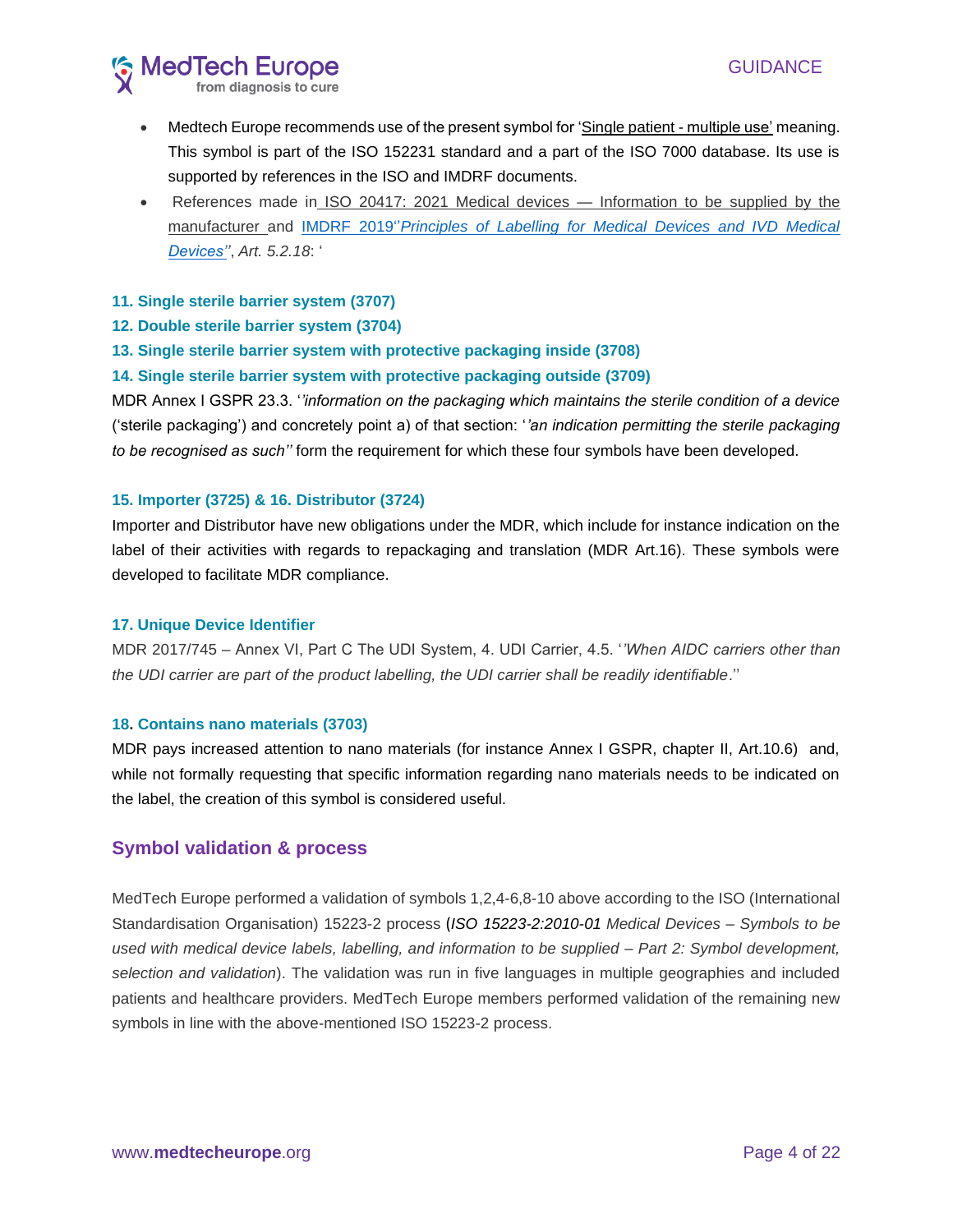

- Medtech Europe recommends use of the present symbol for 'Single patient multiple use' meaning. This symbol is part of the ISO 152231 standard and a part of the ISO 7000 database. Its use is supported by references in the ISO and IMDRF documents.
- References made in ISO 20417: 2021 Medical devices Information to be supplied by the manufacturer and IMDRF 2019''*[Principles of Labelling for Medical Devices and IVD Medical](http://www.imdrf.org/docs/imdrf/final/technical/imdrf-tech-190321-pl-md-ivd.pdf)  [Devices''](http://www.imdrf.org/docs/imdrf/final/technical/imdrf-tech-190321-pl-md-ivd.pdf)*, *Art. 5.2.18*: '

### **11. Single sterile barrier system (3707)**

- **12. Double sterile barrier system (3704)**
- **13. Single sterile barrier system with protective packaging inside (3708)**

### **14. Single sterile barrier system with protective packaging outside (3709)**

MDR Annex I GSPR 23.3. '*'information on the packaging which maintains the sterile condition of a device* ('sterile packaging') and concretely point a) of that section: '*'an indication permitting the sterile packaging to be recognised as such''* form the requirement for which these four symbols have been developed.

### **15. Importer (3725) & 16. Distributor (3724)**

Importer and Distributor have new obligations under the MDR, which include for instance indication on the label of their activities with regards to repackaging and translation (MDR Art.16). These symbols were developed to facilitate MDR compliance.

### **17. Unique Device Identifier**

MDR 2017/745 – Annex VI, Part C The UDI System, 4. UDI Carrier, 4.5. '*'When AIDC carriers other than the UDI carrier are part of the product labelling, the UDI carrier shall be readily identifiable*.''

### **18. Contains nano materials (3703)**

MDR pays increased attention to nano materials (for instance Annex I GSPR, chapter II, Art.10.6) and, while not formally requesting that specific information regarding nano materials needs to be indicated on the label, the creation of this symbol is considered useful.

### **Symbol validation & process**

MedTech Europe performed a validation of symbols 1,2,4-6,8-10 above according to the ISO (International Standardisation Organisation) 15223-2 process (*ISO 15223-2:2010-01 Medical Devices – Symbols to be used with medical device labels, labelling, and information to be supplied – Part 2: Symbol development, selection and validation*). The validation was run in five languages in multiple geographies and included patients and healthcare providers. MedTech Europe members performed validation of the remaining new symbols in line with the above-mentioned ISO 15223-2 process.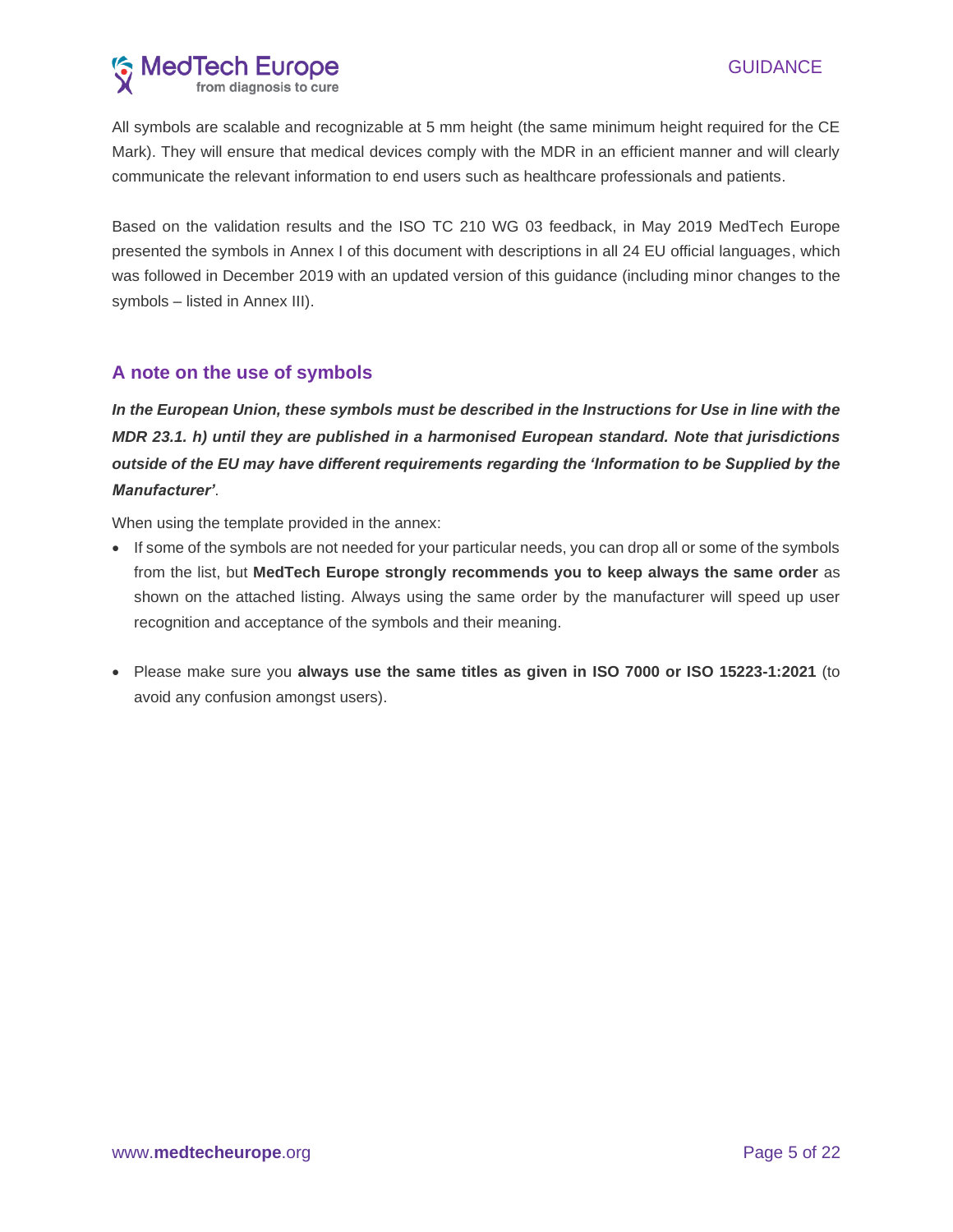# **MedTech Europe**<br>from diagnosis to cure

All symbols are scalable and recognizable at 5 mm height (the same minimum height required for the CE Mark). They will ensure that medical devices comply with the MDR in an efficient manner and will clearly communicate the relevant information to end users such as healthcare professionals and patients.

Based on the validation results and the ISO TC 210 WG 03 feedback, in May 2019 MedTech Europe presented the symbols in Annex I of this document with descriptions in all 24 EU official languages, which was followed in December 2019 with an updated version of this guidance (including minor changes to the symbols – listed in Annex III).

## **A note on the use of symbols**

*In the European Union, these symbols must be described in the Instructions for Use in line with the MDR 23.1. h) until they are published in a harmonised European standard. Note that jurisdictions outside of the EU may have different requirements regarding the 'Information to be Supplied by the Manufacturer'*.

When using the template provided in the annex:

- If some of the symbols are not needed for your particular needs, you can drop all or some of the symbols from the list, but **MedTech Europe strongly recommends you to keep always the same order** as shown on the attached listing. Always using the same order by the manufacturer will speed up user recognition and acceptance of the symbols and their meaning.
- Please make sure you **always use the same titles as given in ISO 7000 or ISO 15223-1:2021** (to avoid any confusion amongst users).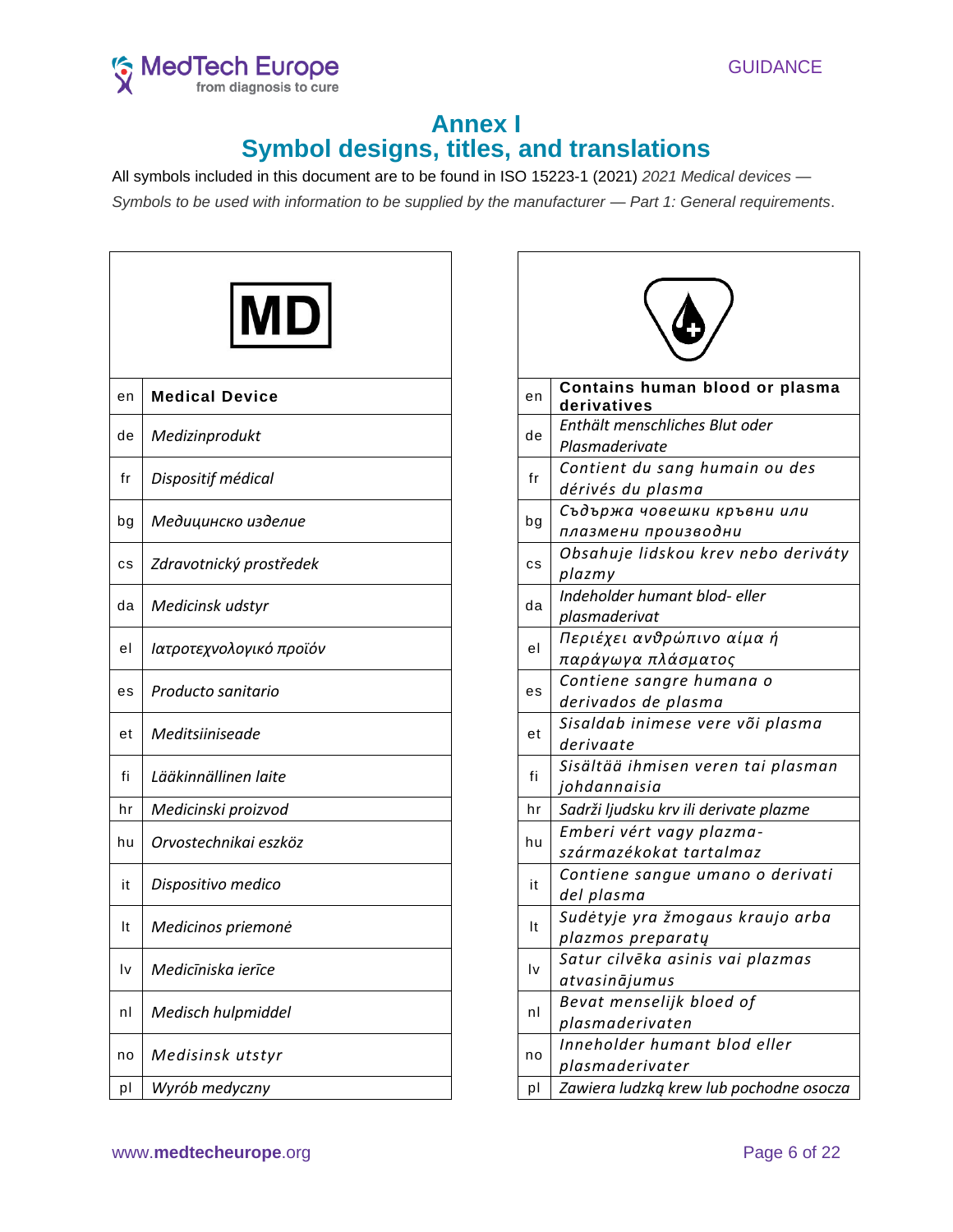



# **Annex I Symbol designs, titles, and translations**

All symbols included in this document are to be found in ISO 15223-1 (2021) *2021 Medical devices — Symbols to be used with information to be supplied by the manufacturer — Part 1: General requirements*.

| en | <b>Medical Device</b>   | en | Contains human blood or plasma<br>derivatives         |
|----|-------------------------|----|-------------------------------------------------------|
| de | Medizinprodukt          | de | Enthält menschliches Blut oder<br>Plasmaderivate      |
| fr | Dispositif médical      | fr | Contient du sang humain ou des<br>dérivés du plasma   |
| bg | Медицинско изделие      | bg | Съдържа човешки кръвни или<br>плазмени производни     |
| сs | Zdravotnický prostředek | cs | Obsahuje lidskou krev nebo derivár<br>plazmy          |
| da | Medicinsk udstyr        | da | Indeholder humant blod- eller<br>plasmaderivat        |
| el | Ιατροτεχνολογικό προϊόν | el | Περιέχει ανθρώπινο αίμα ή<br>παράγωγα πλάσματος       |
| es | Producto sanitario      | es | Contiene sangre humana o<br>derivados de plasma       |
| et | Meditsiiniseade         | et | Sisaldab inimese vere või plasma<br>derivaate         |
| fi | Lääkinnällinen laite    | fi | Sisältää ihmisen veren tai plasman<br>johdannaisia    |
| hr | Medicinski proizvod     | hr | Sadrži ljudsku krv ili derivate plazme                |
| hu | Orvostechnikai eszköz   | hu | Emberi vért vagy plazma-<br>származékokat tartalmaz   |
| it | Dispositivo medico      | it | Contiene sangue umano o derivati<br>del plasma        |
| It | Medicinos priemonė      | It | Sudėtyje yra žmogaus kraujo arba<br>plazmos preparatų |
| l٧ | Medicīniska ierīce      | Iv | Satur cilvēka asinis vai plazmas<br>atvasinājumus     |
| nl | Medisch hulpmiddel      | nl | Bevat menselijk bloed of<br>plasmaderivaten           |
| no | Medisinsk utstyr        | no | Inneholder humant blod eller<br>plasmaderivater       |
| pl | Wyrób medyczny          | pl | Zawiera ludzką krew lub pochodne osoc.                |
|    |                         |    |                                                       |

|    | <b>MD</b>               |           |                                                       |
|----|-------------------------|-----------|-------------------------------------------------------|
| эn | <b>Medical Device</b>   | en        | Contains human blood or plasma<br>derivatives         |
| de | Medizinprodukt          | de        | Enthält menschliches Blut oder<br>Plasmaderivate      |
| fr | Dispositif médical      | fr        | Contient du sang humain ou des<br>dérivés du plasma   |
| ρc | Медицинско изделие      | bg        | Съдържа човешки кръвни или<br>плазмени производни     |
| сs | Zdravotnický prostředek | <b>CS</b> | Obsahuje lidskou krev nebo deriváty<br>plazmy         |
| da | Medicinsk udstyr        | da        | Indeholder humant blod- eller<br>plasmaderivat        |
| el | Ιατροτεχνολογικό προϊόν | el        | Περιέχει ανθρώπινο αίμα ή<br>παράγωγα πλάσματος       |
| эs | Producto sanitario      | es        | Contiene sangre humana o<br>derivados de plasma       |
| et | Meditsiiniseade         | et        | Sisaldab inimese vere või plasma<br>derivaate         |
| fi | Lääkinnällinen laite    | fi        | Sisältää ihmisen veren tai plasman<br>johdannaisia    |
| hr | Medicinski proizvod     | hr        | Sadrži ljudsku krv ili derivate plazme                |
| าน | Orvostechnikai eszköz   | hu        | Emberi vért vagy plazma-<br>származékokat tartalmaz   |
| it | Dispositivo medico      | it        | Contiene sangue umano o derivati<br>del plasma        |
| It | Medicinos priemonė      | It        | Sudėtyje yra žmogaus kraujo arba<br>plazmos preparatų |
| l٧ | Medicīniska ierīce      | I٧        | Satur cilvēka asinis vai plazmas<br>atvasinājumus     |
| nl | Medisch hulpmiddel      | nl        | Bevat menselijk bloed of<br>plasmaderivaten           |
| ٦0 | Medisinsk utstyr        | no        | Inneholder humant blod eller<br>plasmaderivater       |
| pI | Wyrób medyczny          | pl        | Zawiera ludzką krew lub pochodne osocza               |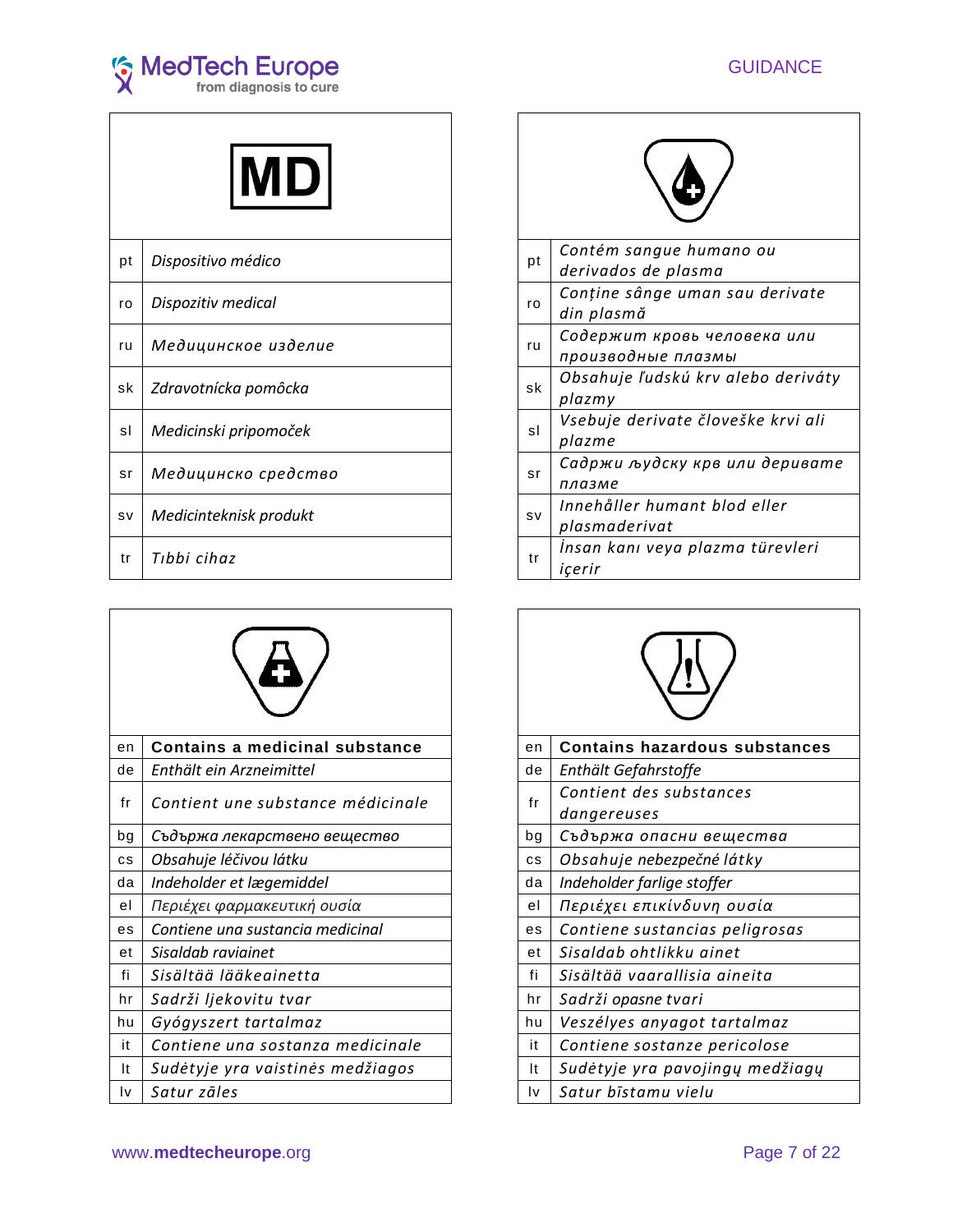

| pt | Dispositivo médico     | pt        | Contém sangue humano ou<br>derivados de plasma    |
|----|------------------------|-----------|---------------------------------------------------|
| ro | Dispozitiv medical     | ro        | Conține sânge uman sau derivate<br>din plasmă     |
| ru | Медицинское изделие    | ru        | Содержит кровь человека или<br>производные плазмы |
| sk | Zdravotnícka pomôcka   | sk        | Obsahuje ľudskú krv alebo deriváty<br>plazmy      |
| sl | Medicinski pripomoček  | sl        | Vsebuje derivate človeške krvi ali<br>plazme      |
| sr | Медицинско средство    | sr        | Садржи људску крв или деривате<br>плазме          |
| SV | Medicinteknisk produkt | <b>SV</b> | Innehåller humant blod eller<br>plasmaderivat     |
| tr | Tibbi cihaz            | tr        | İnsan kanı veya plazma türevleri<br>içerir        |

| en | Contains a medicinal substance    | en        | <b>Contains hazardous substances</b>   |
|----|-----------------------------------|-----------|----------------------------------------|
| de | Enthält ein Arzneimittel          | de        | Enthält Gefahrstoffe                   |
| fr | Contient une substance médicinale | fr        | Contient des substances<br>dangereuses |
| bg | Съдържа лекарствено вещество      | bg        | Съдържа опасни вещества                |
| cs | Obsahuje léčivou látku            | <b>CS</b> | Obsahuje nebezpečné látky              |
| da | Indeholder et lægemiddel          | da        | Indeholder farlige stoffer             |
| el | Περιέχει φαρμακευτική ουσία       | el        | Περιέχει επικίνδυνη ουσία              |
| es | Contiene una sustancia medicinal  | es        | Contiene sustancias peligrosas         |
| et | Sisaldab raviainet                | et        | Sisaldab ohtlikku ainet                |
| fi | Sisältää lääkeainetta             | fi        | Sisältää vaarallisia aineita           |
| hr | Sadrži ljekovitu tvar             | hr        | Sadrži opasne tvari                    |
| hu | Gyógyszert tartalmaz              | hu        | Veszélyes anyagot tartalmaz            |
| it | Contiene una sostanza medicinale  | it        | Contiene sostanze pericolose           |
| It | Sudėtyje yra vaistinės medžiagos  | It        | Sudėtyje yra pavojingų medžiagų        |
| I٧ | Satur zāles                       | Iv        | Satur bīstamu vielu                    |



|           | Contém sangue humano ou            |
|-----------|------------------------------------|
| рt        | derivados de plasma                |
| ro        | Conține sânge uman sau derivate    |
|           | din plasmă                         |
| ru        | Содержит кровь человека или        |
|           | производные плазмы                 |
| sk        | Obsahuje ľudskú krv alebo deriváty |
|           | plazmy                             |
|           | Vsebuje derivate človeške krvi ali |
| sl        | plazme                             |
|           | Садржи људску крв или деривате     |
| sr        | плазме                             |
|           | Innehåller humant blod eller       |
| <b>SV</b> | plasmaderivat                      |
|           | İnsan kanı veya plazma türevleri   |
| tr        | icerir                             |

| en        | <b>Contains hazardous substances</b>   |  |  |
|-----------|----------------------------------------|--|--|
| de        | Enthält Gefahrstoffe                   |  |  |
| fr        | Contient des substances<br>dangereuses |  |  |
| bg        | Съдържа опасни вещества                |  |  |
| <b>CS</b> | Obsahuje nebezpečné látky              |  |  |
| da        | Indeholder farlige stoffer             |  |  |
| el        | Περιέχει επικίνδυνη ουσία              |  |  |
| es        | Contiene sustancias peligrosas         |  |  |
| еt        | Sisaldah ohtlikku ainet                |  |  |
| fi        | Sisältää vaarallisia aineita           |  |  |
| hr        | Sadrži opasne tvari                    |  |  |
| hu        | Veszélyes anyagot tartalmaz            |  |  |
| it        | Contiene sostanze pericolose           |  |  |
| It        | Sudėtyje yra pavojingų medžiagų        |  |  |
| l٧        | Satur bīstamu vielu                    |  |  |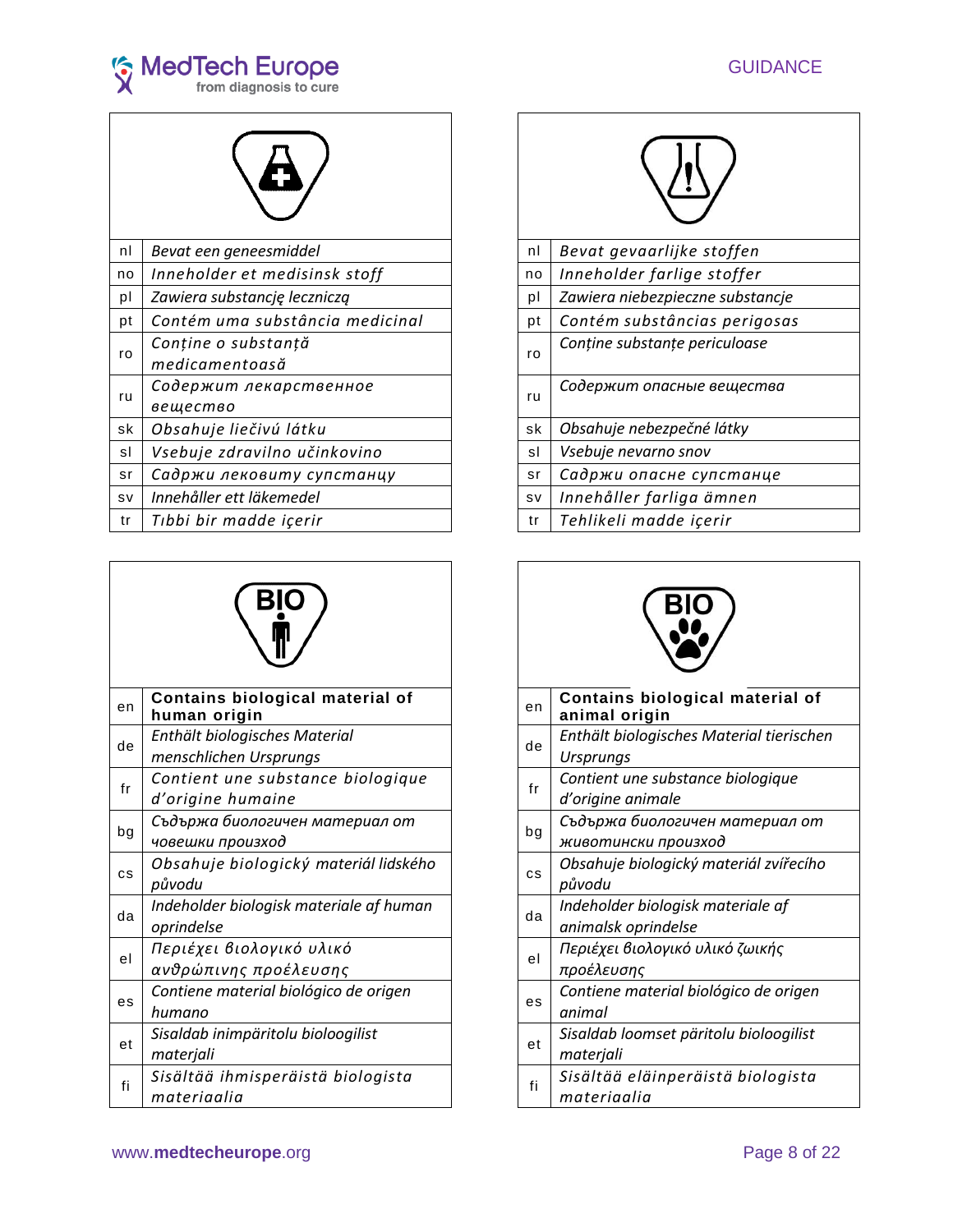





| nl        | Bevat een geneesmiddel                | nl        | Bevat gevaarlijke stoffen        |
|-----------|---------------------------------------|-----------|----------------------------------|
| no        | Inneholder et medisinsk stoff         | no        | Inneholder farlige stoffer       |
| pl        | Zawiera substancję leczniczą          | pl        | Zawiera niebezpieczne substancje |
| pt        | Contém uma substância medicinal       | pt        | Contém substâncias perigosas     |
| ro        | Conține o substanță<br>medicamentoasă | ro        | Conține substanțe periculoase    |
| ru        | Содержит лекарственное<br>вещество    | ru        | Содержит опасные вещества        |
| sk        | Obsahuje liečivú látku                | sk        | Obsahuje nebezpečné látky        |
| sl        | Vsebuje zdravilno učinkovino          | sl        | Vsebuje nevarno snov             |
| sr        | Садржи лековиту супстанцу             | sr        | Садржи опасне супстанце          |
| <b>SV</b> | Innehåller ett läkemedel              | <b>SV</b> | Innehåller farliga ämnen         |
| tr        | Tıbbi bir madde içerir                | tr        | Tehlikeli madde içerir           |

| en        | Contains biological material of<br>human origin         | en |
|-----------|---------------------------------------------------------|----|
| de        | Enthält biologisches Material<br>menschlichen Ursprungs | de |
| fr        | Contient une substance biologique<br>d'origine humaine  | fr |
| bg        | Съдържа биологичен материал от<br>човешки произход      | bg |
| <b>CS</b> | Obsahuje biologický materiál lidského<br>původu         | CS |
| da        | Indeholder biologisk materiale af human<br>oprindelse   | da |
| el        | Περιέχει βιολογικό υλικό<br>ανθρώπινης προέλευσης       | el |
| es        | Contiene material biológico de origen<br>humano         | es |
| et        | Sisaldab inimpäritolu bioloogilist<br>materjali         | et |
| fi        | Sisältää ihmisperäistä biologista<br>materiaalia        | fi |

| nl | Bevat gevaarlijke stoffen        |  |  |  |
|----|----------------------------------|--|--|--|
| no | Inneholder farlige stoffer       |  |  |  |
| pl | Zawiera niebezpieczne substancje |  |  |  |
| рt | Contém substâncias perigosas     |  |  |  |
| ro | Conține substanțe periculoase    |  |  |  |
| ru | Содержит опасные вещества        |  |  |  |
| sk | Obsahuje nebezpečné látky        |  |  |  |
| sl | Vsebuje nevarno snov             |  |  |  |
| sr | Садржи опасне супстанце          |  |  |  |
| sv | Innehåller farliga ämnen         |  |  |  |
| tr | Tehlikeli madde içerir           |  |  |  |

**Contains biological material of animal origin** *menschlichen Ursprungs* de *Enthält biologisches Material tierischen Ursprungs d'origine humaine* fr *Contient une substance biologique d'origine animale човешки произход* bg *Съдържа биологичен материал от животински произход Obsahuje biologický materiál zvířecího původu oprindelse* da *Indeholder biologisk materiale af animalsk oprindelse ανθρώπινης προέλευσης* el *Περιέχει βιολογικό υλικό ζωικής προέλευσης Contiene material biológico de origen animal Sisaldab loomset päritolu bioloogilist materjali materiaalia* fi *Sisältää eläinperäistä biologista materiaalia*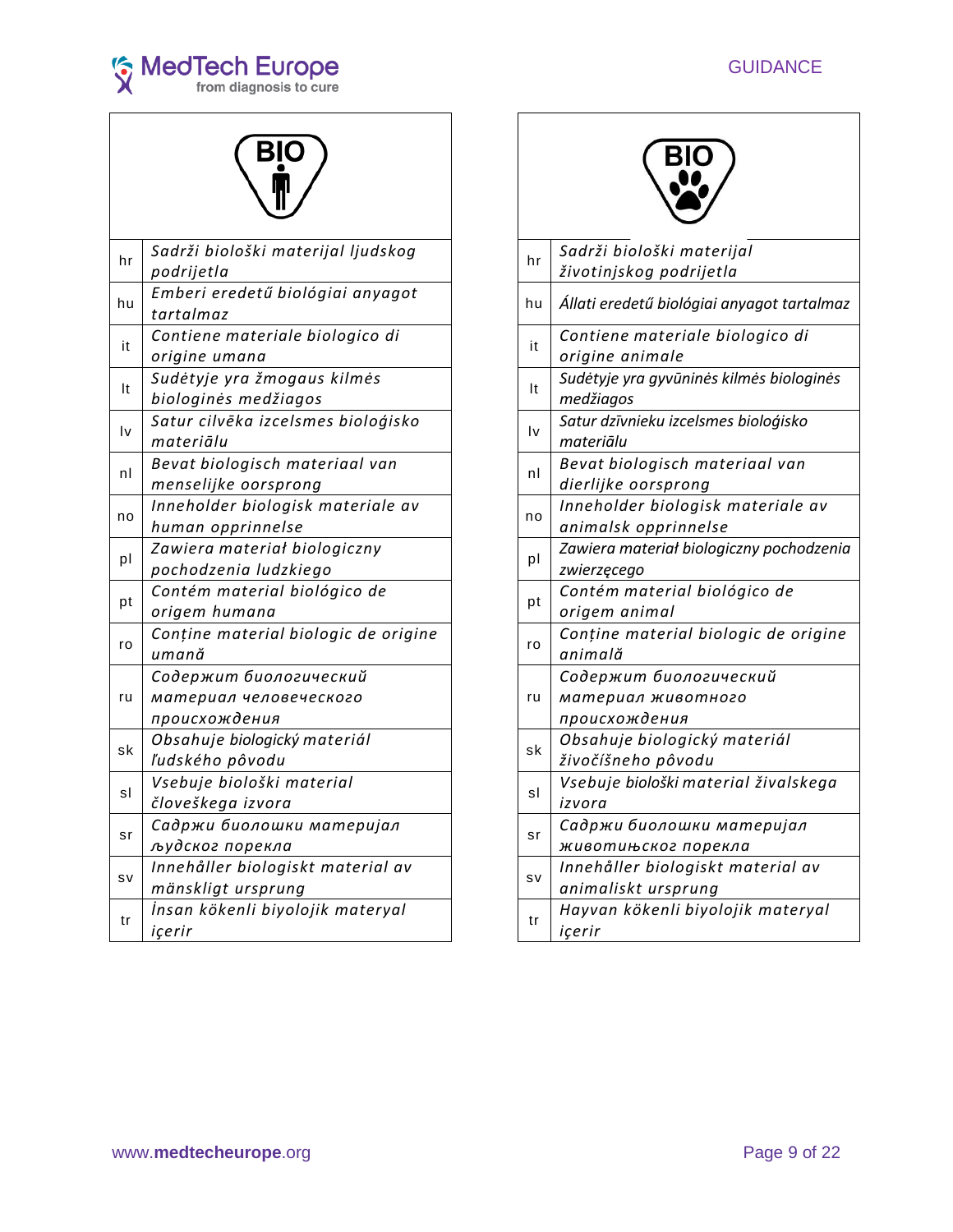





|    | Sadrži biološki materijal ljudskog   |           |                                | Sadrži biološki materijal             |
|----|--------------------------------------|-----------|--------------------------------|---------------------------------------|
| hr | podrijetla                           |           | hr                             | životinjskog podrijetla               |
| hu | Emberi eredetű biológiai anyagot     |           |                                |                                       |
|    | tartalmaz                            |           | hu                             | Állati eredetű biológiai anyagot tart |
| it | Contiene materiale biologico di      |           | it                             | Contiene materiale biologico di       |
|    | origine umana                        |           |                                | origine animale                       |
|    | Sudėtyje yra žmogaus kilmės          |           | It                             | Sudėtyje yra gyvūninės kilmės biolog  |
| It | biologinės medžiagos                 |           |                                | medžiagos                             |
|    | Satur cilvēka izcelsmes bioloģisko   |           |                                | Satur dzīvnieku izcelsmes bioloģisko  |
| l٧ | materiālu                            |           | l٧                             | materiālu                             |
|    | Bevat biologisch materiaal van       | nl<br>no  | Bevat biologisch materiaal van |                                       |
| nl | menselijke oorsprong                 |           | dierlijke oorsprong            |                                       |
|    | Inneholder biologisk materiale av    |           | Inneholder biologisk materiale |                                       |
| no | human opprinnelse                    |           |                                | animalsk opprinnelse                  |
|    | Zawiera materiał biologiczny         |           |                                | Zawiera materiał biologiczny pochod   |
| pl | pochodzenia ludzkiego                | pl        | zwierzęcego                    |                                       |
|    | Contém material biológico de         | pt        | Contém material biológico de   |                                       |
| pt | origem humana                        |           | origem animal                  |                                       |
| ro | Conține material biologic de origine |           | ro                             | Conține material biologic de ori      |
|    | umană                                |           |                                | animală                               |
|    | Содержит биологический               |           |                                | Содержит биологический                |
| ru | материал человеческого               |           | ru                             | материал животного                    |
|    | происхождения                        |           |                                | происхождения                         |
| sk | Obsahuje biologický materiál         |           | sk                             | Obsahuje biologický materiál          |
|    | ľudského pôvodu                      |           |                                | živočíšneho pôvodu                    |
| sl | Vsebuje biološki material            |           | sl                             | Vsebuje biološki material živalsk     |
|    | človeškega izvora                    |           |                                | izvora                                |
| sr | Садржи биолошки материјал            |           | sr                             | Садржи биолошки материјал             |
|    | људског порекла                      |           |                                | животињског порекла                   |
| sv | Innehåller biologiskt material av    |           |                                | Innehåller biologiskt material a      |
|    | mänskligt ursprung                   | <b>SV</b> | animaliskt ursprung            |                                       |
| tr | İnsan kökenli biyolojik materyal     |           | tr                             | Hayvan kökenli biyolojik matery       |
|    | içerir                               |           |                                | içerir                                |



| Sadrži biološki materijal ljudskog   |  | hr                     | Sadrži biološki materijal                  |
|--------------------------------------|--|------------------------|--------------------------------------------|
| podrijetla                           |  |                        | životinjskog podrijetla                    |
| Emberi eredetű biológiai anyagot     |  | hu                     | Állati eredetű biológiai anyagot tartalmaz |
| tartalmaz                            |  |                        |                                            |
| Contiene materiale biologico di      |  | it                     | Contiene materiale biologico di            |
| origine umana                        |  |                        | origine animale                            |
| Sudėtyje yra žmogaus kilmės          |  | It                     | Sudėtyje yra gyvūninės kilmės biologinės   |
| biologinės medžiagos                 |  |                        | medžiagos                                  |
| Satur cilvēka izcelsmes bioloģisko   |  | $\mathsf{I}\mathsf{v}$ | Satur dzīvnieku izcelsmes bioloģisko       |
| materiālu                            |  |                        | materiālu                                  |
| Bevat biologisch materiaal van       |  |                        | Bevat biologisch materiaal van             |
| menselijke oorsprong                 |  | nl                     | dierlijke oorsprong                        |
| Inneholder biologisk materiale av    |  |                        | Inneholder biologisk materiale av          |
| human opprinnelse                    |  | no                     | animalsk opprinnelse                       |
| Zawiera materiał biologiczny         |  |                        | Zawiera materiał biologiczny pochodzenia   |
| pochodzenia ludzkiego                |  | pl                     | zwierzęcego                                |
| Contém material biológico de         |  |                        | Contém material biológico de               |
| origem humana                        |  | pt                     | origem animal                              |
| Conține material biologic de origine |  |                        | Conține material biologic de origine       |
| umană                                |  | ro                     | animală                                    |
| Содержит биологический               |  |                        | Содержит биологический                     |
| материал человеческого               |  | ru                     | материал животного                         |
| происхождения                        |  |                        | происхождения                              |
| Obsahuje biologický materiál         |  |                        | Obsahuje biologický materiál               |
| ľudského pôvodu                      |  | sk                     | živočíšneho pôvodu                         |
| Vsebuje biološki material            |  |                        | Vsebuje biološki material živalskega       |
| človeškega izvora                    |  | sl                     | izvora                                     |
| Садржи биолошки материјал            |  |                        | Садржи биолошки материјал                  |
| људског порекла                      |  | sr                     | животињског порекла                        |
| Innehåller biologiskt material av    |  |                        | Innehåller biologiskt material av          |
| mänskligt ursprung                   |  | SV                     | animaliskt ursprung                        |
| İnsan kökenli biyolojik materyal     |  |                        | Hayvan kökenli biyolojik materyal          |
| içerir                               |  | tr                     | içerir                                     |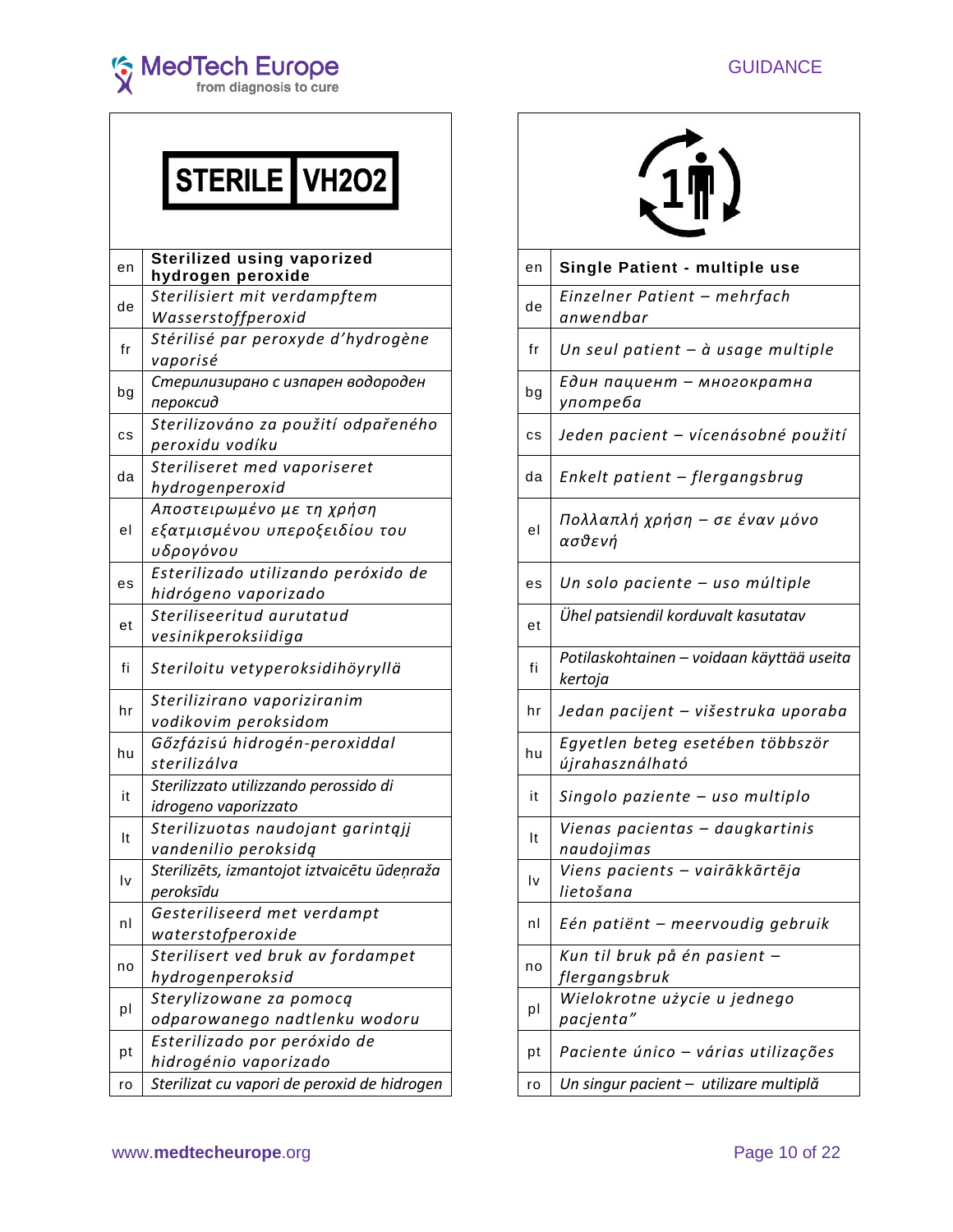

# STERILE VH2O2

| en            | <b>Sterilized using vaporized</b><br>hydrogen peroxide                  | en | Single Patient - multiple use                      |
|---------------|-------------------------------------------------------------------------|----|----------------------------------------------------|
| de            | Sterilisiert mit verdampftem<br>Wasserstoffperoxid                      | de | Einzelner Patient - mehrfach<br>anwendbar          |
| fr            | Stérilisé par peroxyde d'hydrogène<br>vaporisé                          | fr | Un seul patient $-$ à usage multip                 |
| bg            | Стерилизирано с изпарен водороден<br>пероксид                           | bg | Един пациент - многократна<br>употреба             |
| cs            | Sterilizováno za použití odpařeného<br>peroxidu vodíku                  | cs | Jeden pacient – vícenásobné pou                    |
| da            | Steriliseret med vaporiseret<br>hydrogenperoxid                         | da | Enkelt patient - flergangsbrug                     |
| el            | Αποστειρωμένο με τη χρήση<br>εξατμισμένου υπεροξειδίου του<br>υδρογόνου | el | Πολλαπλή χρήση – σε έναν μόνο<br>ασθενή            |
| es            | Esterilizado utilizando peróxido de<br>hidrógeno vaporizado             | es | Un solo paciente - uso múltiple                    |
| et            | Steriliseeritud aurutatud<br>vesinikperoksiidiga                        | et | Ühel patsiendil korduvalt kasutatav                |
| fi            | Steriloitu vetyperoksidihöyryllä                                        | fi | Potilaskohtainen - voidaan käyttää u<br>kertoja    |
| hr            | Sterilizirano vaporiziranim<br>vodikovim peroksidom                     | hr | Jedan pacijent – višestruka upor                   |
| hu            | Gőzfázisú hidrogén-peroxiddal<br>sterilizálva                           | hu | Egyetlen beteg esetében többszö<br>újrahasználható |
| it            | Sterilizzato utilizzando perossido di<br>idrogeno vaporizzato           | it | Singolo paziente - uso multiplo                    |
| $\mathsf{It}$ | Sterilizuotas naudojant garintąjį<br>vandenilio peroksidą               | It | Vienas pacientas - daugkartinis<br>naudojimas      |
| Iv            | Sterilizēts, izmantojot iztvaicētu ūdeņraža<br>peroksīdu                | l٧ | Viens pacients - vairākkārtēja<br>lietošana        |
| nl            | Gesteriliseerd met verdampt<br>waterstofperoxide                        | nl | Eén patiënt - meervoudig gebrui                    |
| no            | Sterilisert ved bruk av fordampet<br>hydrogenperoksid                   | no | Kun til bruk på én pasient -<br>flergangsbruk      |
| pl            | Sterylizowane za pomocą<br>odparowanego nadtlenku wodoru                | pl | Wielokrotne użycie u jednego<br>pacjenta"          |
| pt            | Esterilizado por peróxido de<br>hidrogénio vaporizado                   | pt | Paciente único - várias utilizaçõ                  |
| ro            | Sterilizat cu vapori de peroxid de hidrogen                             | ro | Un singur pacient - utilizare multiplă             |
|               |                                                                         |    |                                                    |



| эn  | <b>Sterilized using vaporized</b><br>hydrogen peroxide                  | en | Single Patient - multiple use                        |
|-----|-------------------------------------------------------------------------|----|------------------------------------------------------|
| de  | Sterilisiert mit verdampftem<br>Wasserstoffperoxid                      | de | Einzelner Patient - mehrfach<br>anwendbar            |
| fr  | Stérilisé par peroxyde d'hydrogène<br>vaporisé                          | fr | Un seul patient $-$ à usage multiple                 |
| ρg  | Стерилизирано с изпарен водороден<br>пероксид                           | bg | Един пациент - многократна<br>употреба               |
| CS. | Sterilizováno za použití odpařeného<br>peroxidu vodíku                  | cs | Jeden pacient – vícenásobné použití                  |
| dа  | Steriliseret med vaporiseret<br>hydrogenperoxid                         | da | Enkelt patient - flergangsbrug                       |
| еI  | Αποστειρωμένο με τη χρήση<br>εξατμισμένου υπεροξειδίου του<br>υδρογόνου | el | Πολλαπλή χρήση – σε έναν μόνο<br>ασθενή              |
| эs  | Esterilizado utilizando peróxido de<br>hidrógeno vaporizado             | es | Un solo paciente - uso múltiple                      |
| эt  | Steriliseeritud aurutatud<br>vesinikperoksiidiga                        | et | Ühel patsiendil korduvalt kasutatav                  |
| fi  | Steriloitu vetyperoksidihöyryllä                                        | fi | Potilaskohtainen – voidaan käyttää useita<br>kertoja |
| ٦r  | Sterilizirano vaporiziranim<br>vodikovim peroksidom                     | hr | Jedan pacijent - višestruka uporaba                  |
| ١u  | Gőzfázisú hidrogén-peroxiddal<br>sterilizálva                           | hu | Egyetlen beteg esetében többször<br>újrahasználható  |
| it  | Sterilizzato utilizzando perossido di<br>idrogeno vaporizzato           | it | Singolo paziente - uso multiplo                      |
| It  | Sterilizuotas naudojant garintąjį<br>vandenilio peroksidą               | It | Vienas pacientas - daugkartinis<br>naudojimas        |
| ١v  | Sterilizēts, izmantojot iztvaicētu ūdeņraža<br>peroksīdu                | I٧ | Viens pacients - vairākkārtēja<br>lietošana          |
| nI  | Gesteriliseerd met verdampt<br>waterstofperoxide                        | nl | Eén patiënt – meervoudig gebruik                     |
| ١O  | Sterilisert ved bruk av fordampet<br>hydrogenperoksid                   | no | Kun til bruk på én pasient -<br>flergangsbruk        |
| pI  | Sterylizowane za pomocą<br>odparowanego nadtlenku wodoru                | pl | Wielokrotne użycie u jednego<br>pacjenta"            |
| эt  | Esterilizado por peróxido de<br>hidrogénio vaporizado                   | рt | Paciente único - várias utilizações                  |
| 0°  | Sterilizat cu vapori de peroxid de hidrogen                             | ro | Un singur pacient - utilizare multiplă               |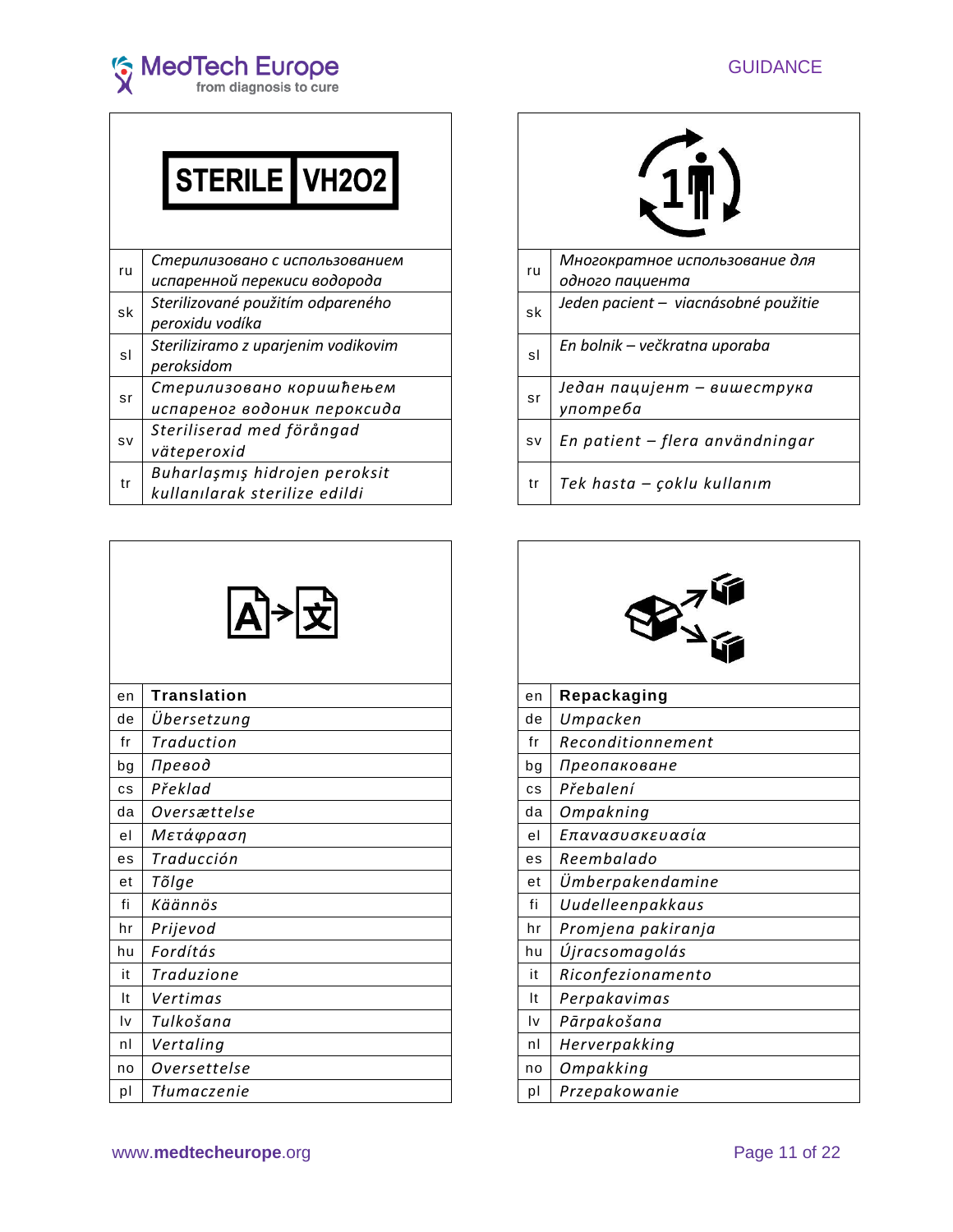

| <b>STERILE VH2O2</b> |  |
|----------------------|--|
|                      |  |

| Многократное использован<br>Стерилизовано с использованием<br>ru<br>ru<br>испаренной перекиси водорода<br>одного пациента<br>Sterilizované použitím odpareného<br>Jeden pacient - viacnásobné p<br>sk<br>sk<br>peroxidu vodíka<br>Steriliziramo z uparjenim vodikovim<br>En bolnik - večkratna uporaba |  |
|--------------------------------------------------------------------------------------------------------------------------------------------------------------------------------------------------------------------------------------------------------------------------------------------------------|--|
|                                                                                                                                                                                                                                                                                                        |  |
|                                                                                                                                                                                                                                                                                                        |  |
| sl<br>sl<br>peroksidom                                                                                                                                                                                                                                                                                 |  |
| Један пацијент - вишест<br>Стерилизовано коришћењем<br>sr<br>sr<br>испареног водоник пероксида<br>употреба                                                                                                                                                                                             |  |
| Steriliserad med förångad<br>En patient - flera användn<br><b>SV</b><br><b>SV</b><br>väteperoxid                                                                                                                                                                                                       |  |
| Buharlaşmış hidrojen peroksit<br>Tek hasta – çoklu kullanım<br>tr<br>tr<br>kullanılarak sterilize edildi                                                                                                                                                                                               |  |

|    | │A े ∑             |  |  |  |  |
|----|--------------------|--|--|--|--|
| en | <b>Translation</b> |  |  |  |  |
| de | Übersetzung        |  |  |  |  |
| fr | Traduction         |  |  |  |  |
| bg | Превод             |  |  |  |  |
| cs | Překlad            |  |  |  |  |
| da | Oversættelse       |  |  |  |  |
| el | Μετάφραση          |  |  |  |  |
| es | Traducción         |  |  |  |  |
| et | Tõlge              |  |  |  |  |
| fi | Käännös            |  |  |  |  |
| hr | Prijevod           |  |  |  |  |
| hu | Fordítás           |  |  |  |  |
| it | Traduzione         |  |  |  |  |
| It | Vertimas           |  |  |  |  |
| Iv | Tulkošana          |  |  |  |  |
| nl | Vertaling          |  |  |  |  |
| no | Oversettelse       |  |  |  |  |
|    |                    |  |  |  |  |

| STERILE VH2O2                                                  |    |                                                   |
|----------------------------------------------------------------|----|---------------------------------------------------|
| Стерилизовано с использованием<br>испаренной перекиси водорода | ru | Многократное использование для<br>одного пациента |
| Sterilizované použitím odpareného<br>peroxidu vodíka           | sk | Jeden pacient - viacnásobné použitie              |
| Steriliziramo z uparjenim vodikovim<br>peroksidom              | sl | En bolnik – večkratna uporaba                     |
| Стерилизовано коришћењем<br>испареног водоник пероксида        | sr | Један пацијент – вишеструка<br>употреба           |
| Steriliserad med förångad<br>väteperoxid                       | sv | En patient – flera användningar                   |
| Buharlaşmış hidrojen peroksit<br>kullanılarak sterilize edildi | tr | Tek hasta – çoklu kullanım                        |

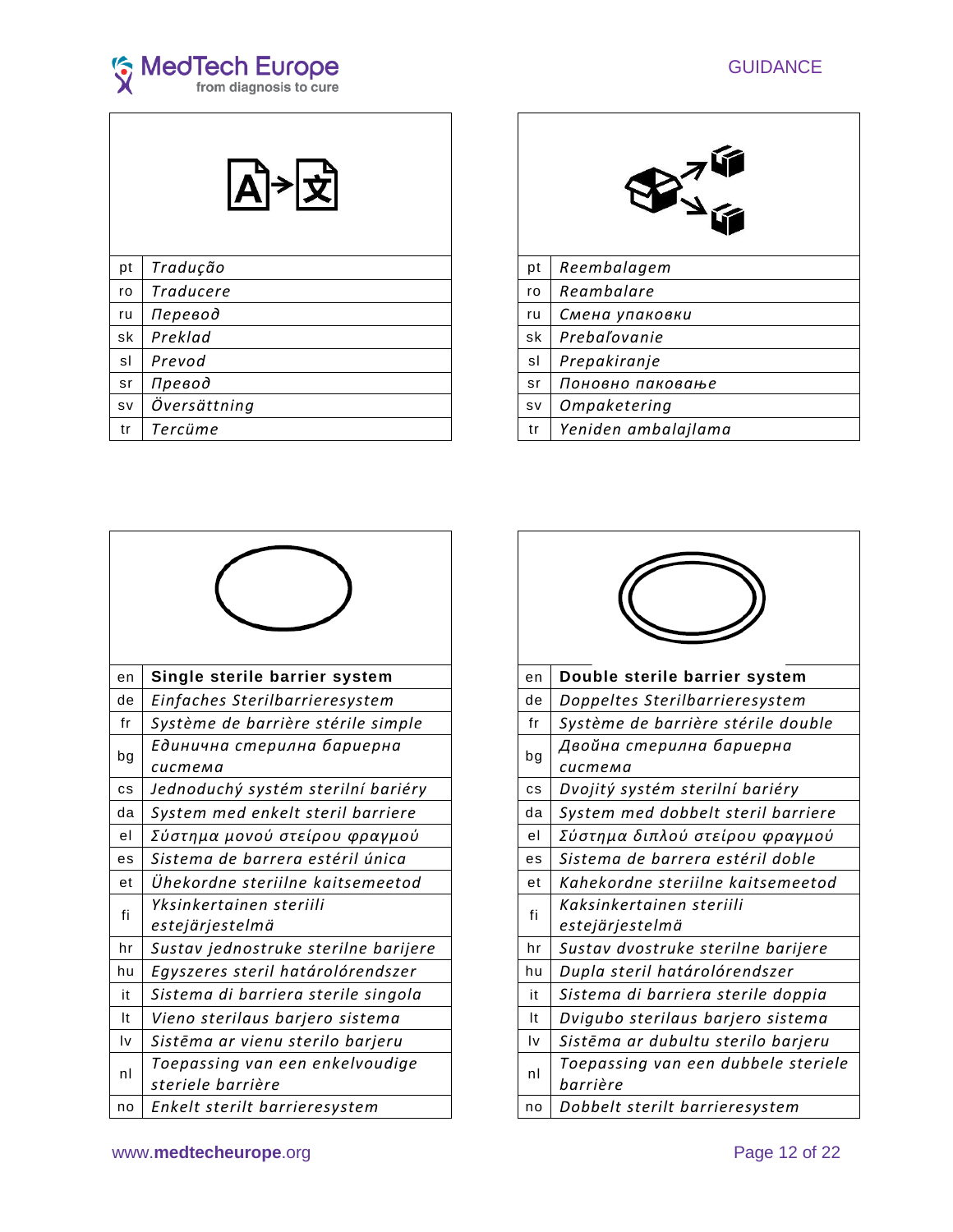

| рt        | Tradução     |
|-----------|--------------|
| ro        | Traducere    |
| ru        | Перевод      |
| sk        | Preklad      |
| sl        | Prevod       |
| sr        | Превод       |
| <b>SV</b> | Översättning |
| tr        | Tercüme      |
|           |              |



| en | Single sterile barrier system                        | en | Double sterile barrier system                 |
|----|------------------------------------------------------|----|-----------------------------------------------|
| de | Einfaches Sterilbarrieresystem                       | de | Doppeltes Sterilbarrieresystem                |
| fr | Système de barrière stérile simple                   | fr | Système de barrière stérile double            |
| bg | Единична стерилна бариерна<br>система                | bg | Двойна стерилна бариерна<br>система           |
| cs | Jednoduchý systém sterilní bariéry                   | cs | Dvojitý systém sterilní bariéry               |
| da | System med enkelt steril barriere                    | da | System med dobbelt steril barriere            |
| el | Σύστημα μονού στείρου φραγμού                        | el | Σύστημα διπλού στείρου φραγμού                |
| es | Sistema de barrera estéril única                     | es | Sistema de barrera estéril doble              |
| et | Ühekordne steriilne kaitsemeetod                     | et | Kahekordne steriilne kaitsemeetod             |
| fi | Yksinkertainen steriili<br>estejärjestelmä           | fi | Kaksinkertainen steriili<br>estejärjestelmä   |
| hr | Sustav jednostruke sterilne barijere                 | hr | Sustav dvostruke sterilne barijere            |
| hu | Egyszeres steril határolórendszer                    | hu | Dupla steril határolórendszer                 |
| it | Sistema di barriera sterile singola                  | it | Sistema di barriera sterile doppia            |
| It | Vieno sterilaus barjero sistema                      | It | Dvigubo sterilaus barjero sistema             |
| l٧ | Sistēma ar vienu sterilo barjeru                     | I٧ | Sistēma ar dubultu sterilo barjeru            |
| nl | Toepassing van een enkelvoudige<br>steriele barrière | nl | Toepassing van een dubbele sterie<br>barrière |
| no | Enkelt sterilt barrieresystem                        | no | Dobbelt sterilt barrieresystem                |

| Single sterile barrier system                        | en | Double sterile barrier system                   |
|------------------------------------------------------|----|-------------------------------------------------|
| Einfaches Sterilbarrieresystem                       | de | Doppeltes Sterilbarrieresystem                  |
| Système de barrière stérile simple                   | fr | Système de barrière stérile double              |
| Единична стерилна бариерна<br>система                | bg | Двойна стерилна бариерна<br>система             |
| Jednoduchý systém sterilní bariéry                   | cs | Dvojitý systém sterilní bariéry                 |
| System med enkelt steril barriere                    | da | System med dobbelt steril barriere              |
| Σύστημα μονού στείρου φραγμού                        | el | Σύστημα διπλού στείρου φραγμού                  |
| Sistema de barrera estéril única                     | es | Sistema de barrera estéril doble                |
| Ühekordne steriilne kaitsemeetod                     | et | Kahekordne steriilne kaitsemeetod               |
| Yksinkertainen steriili<br>estejärjestelmä           | fi | Kaksinkertainen steriili<br>estejärjestelmä     |
| Sustav jednostruke sterilne barijere                 | hr | Sustav dvostruke sterilne barijere              |
| Egyszeres steril határolórendszer                    | hu | Dupla steril határolórendszer                   |
| Sistema di barriera sterile singola                  | it | Sistema di barriera sterile doppia              |
| Vieno sterilaus barjero sistema                      | It | Dvigubo sterilaus barjero sistema               |
| Sistēma ar vienu sterilo barjeru                     | Iv | Sistēma ar dubultu sterilo barjeru              |
| Toepassing van een enkelvoudige<br>steriele barrière | nl | Toepassing van een dubbele steriele<br>barrière |
| Enkelt sterilt barrieresystem                        | no | Dobbelt sterilt barrieresystem                  |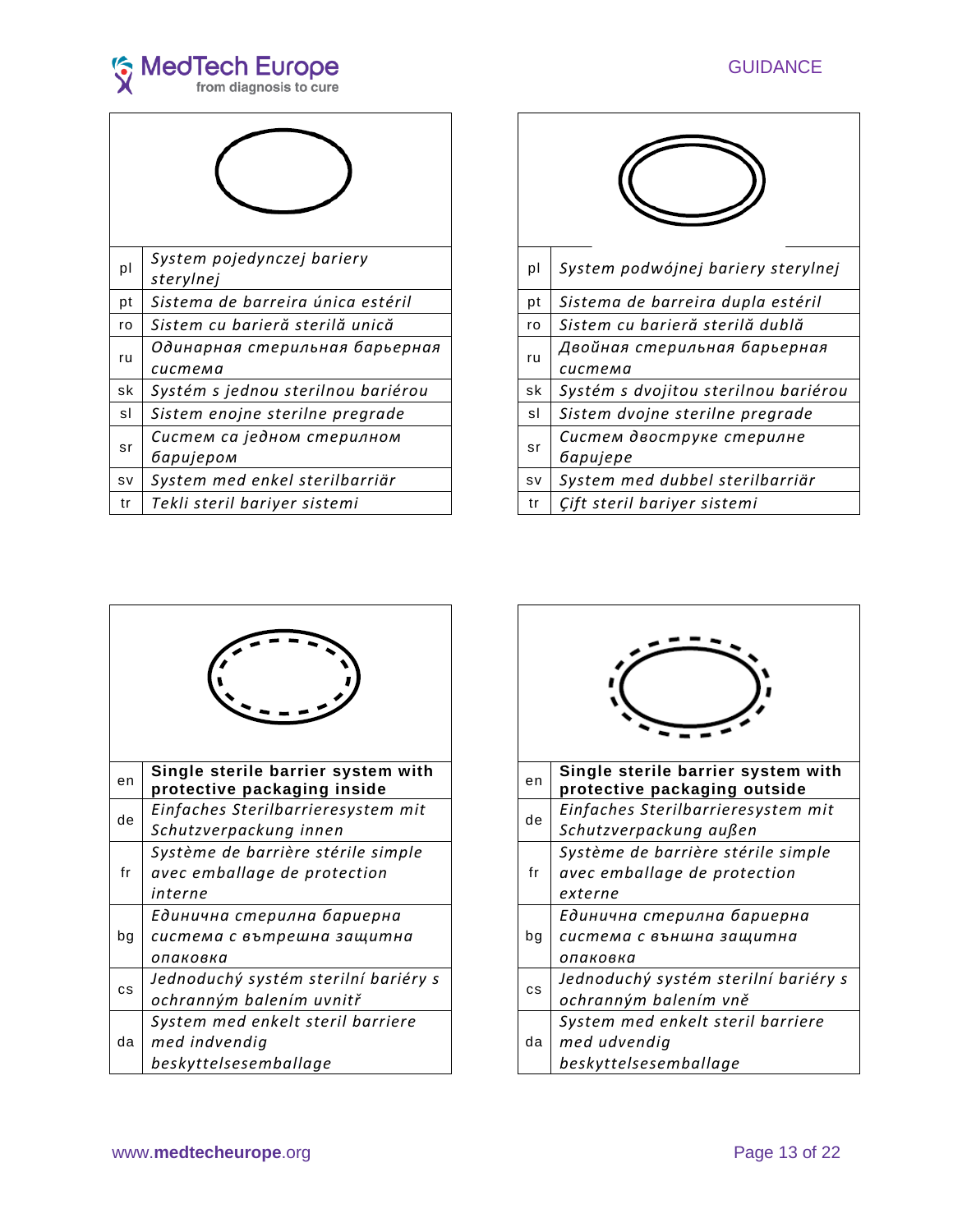

| pl        | System pojedynczej bariery<br>sterylnej   | pl | System podwójnej bariery sterylnej                  |
|-----------|-------------------------------------------|----|-----------------------------------------------------|
| pt        | Sistema de barreira única estéril         | pt | Sistema de barreira dupla estéril                   |
| ro        | Sistem cu barieră sterilă unică           | ro | Sistem cu barieră sterilă dublă                     |
| ru        | Одинарная стерильная барьерная<br>система | ru | Двойная стерильная барьерная<br>система             |
| sk        | Systém s jednou sterilnou bariérou        | sk | Systém s dvojitou sterilnou bariérou                |
| sl        | Sistem enojne sterilne pregrade           | sl | Sistem dvojne sterilne pregrade                     |
| sr        | Систем са једном стерилном<br>баријером   | sr | Систем двоструке стерилне<br><i><b>Gapujepe</b></i> |
| <b>SV</b> | System med enkel sterilbarriär            | sv | System med dubbel sterilbarriär                     |
| tr        | Tekli steril bariyer sistemi              | tr | Çift steril bariyer sistemi                         |

| System pojedynczej bariery<br>sterylnej   | pl        | System podwójnej bariery sterylnej                  |
|-------------------------------------------|-----------|-----------------------------------------------------|
| Sistema de barreira única estéril         | pt        | Sistema de barreira dupla estéril                   |
| Sistem cu barieră sterilă unică           | ro        | Sistem cu barieră sterilă dublă                     |
| Одинарная стерильная барьерная<br>система | ru        | Двойная стерильная барьерная<br>система             |
| Systém s jednou sterilnou bariérou        | sk        | Systém s dvojitou sterilnou bariérou                |
| Sistem enojne sterilne pregrade           | sl        | Sistem dvojne sterilne pregrade                     |
| Систем са једном стерилном<br>баријером   | sr        | Систем двоструке стерилне<br><i><b>Gapujepe</b></i> |
| System med enkel sterilbarriär            | <b>SV</b> | System med dubbel sterilbarriär                     |
| Tekli steril bariyer sistemi              | tr        | Çift steril bariyer sistemi                         |

| en        | Single sterile barrier system with<br>protective packaging inside             | en |
|-----------|-------------------------------------------------------------------------------|----|
| de        | Einfaches Sterilbarrieresystem mit<br>Schutzverpackung innen                  | de |
| fr        | Système de barrière stérile simple<br>avec emballage de protection<br>interne | fr |
| bg        | Единична стерилна бариерна<br>система с вътрешна защитна<br>опаковка          | bg |
| <b>CS</b> | Jednoduchý systém sterilní bariéry s<br>ochranným balením uvnitř              | CS |
| da        | System med enkelt steril barriere<br>med indvendig<br>beskyttelsesemballage   | da |

| Single sterile barrier system with<br>protective packaging inside             | en        | Single sterile barrier system with<br>protective packaging outside            |
|-------------------------------------------------------------------------------|-----------|-------------------------------------------------------------------------------|
| Einfaches Sterilbarrieresystem mit<br>Schutzverpackung innen                  | de        | Einfaches Sterilbarrieresystem mit<br>Schutzverpackung außen                  |
| Système de barrière stérile simple<br>avec emballage de protection<br>interne | fr        | Système de barrière stérile simple<br>avec emballage de protection<br>externe |
| Единична стерилна бариерна<br>система с вътрешна защитна<br>опаковка          | bg        | Единична стерилна бариерна<br>система с външна защитна<br>опаковка            |
| Jednoduchý systém sterilní bariéry s<br>ochranným balením uvnitř              | <b>CS</b> | Jednoduchý systém sterilní bariéry s<br>ochranným balením vně                 |
| System med enkelt steril barriere<br>med indvendig<br>beskyttelsesemballage   | da        | System med enkelt steril barriere<br>med udvendig<br>beskyttelsesemballage    |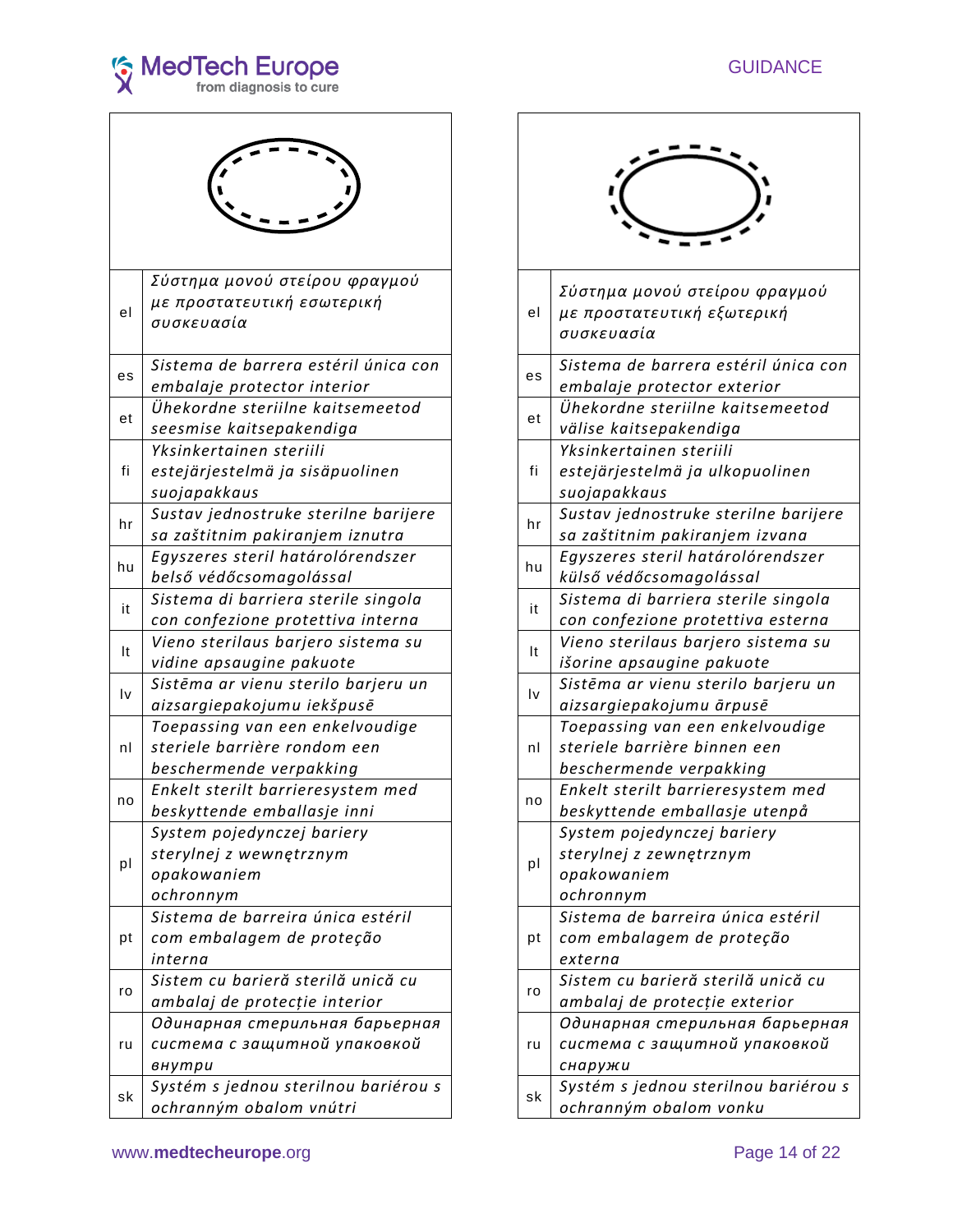

| el | Σύστημα μονού στείρου φραγμού<br>με προστατευτική εσωτερική<br>συσκευασία                  | el |
|----|--------------------------------------------------------------------------------------------|----|
| es | Sistema de barrera estéril única con<br>embalaje protector interior                        | es |
| et | Ühekordne steriilne kaitsemeetod<br>seesmise kaitsepakendiga                               | et |
| fi | Yksinkertainen steriili<br>estejärjestelmä ja sisäpuolinen<br>suojapakkaus                 | fi |
| hr | Sustav jednostruke sterilne barijere<br>sa zaštitnim pakiranjem iznutra                    | hr |
| hu | Egyszeres steril határolórendszer<br>belső védőcsomagolással                               | hu |
| it | Sistema di barriera sterile singola<br>con confezione protettiva interna                   | it |
| It | Vieno sterilaus barjero sistema su<br>vidine apsaugine pakuote                             | It |
| l٧ | Sistēma ar vienu sterilo barjeru un<br>aizsargiepakojumu iekšpusē                          | l٧ |
| nl | Toepassing van een enkelvoudige<br>steriele barrière rondom een<br>beschermende verpakking | nl |
| no | Enkelt sterilt barrieresystem med<br>beskyttende emballasje inni                           | no |
| pl | System pojedynczej bariery<br>sterylnej z wewnętrznym<br>opakowaniem<br>ochronnym          | pl |
| pt | Sistema de barreira única estéril<br>com embalagem de proteção<br>interna                  | рt |
| ro | Sistem cu barieră sterilă unică cu<br>ambalaj de protecție interior                        | ro |
| ru | Одинарная стерильная барьерная<br>система с защитной упаковкой<br>внутри                   | ru |
| sk | Systém s jednou sterilnou bariérou s<br>ochranným obalom vnútri                            | sk |

| Σύστημα μονού στείρου φραγμού<br>με προστατευτική εσωτερική<br>συσκευασία                  | el                     | Σύστημα μονού στείρου φραγμού<br>με προστατευτική εξωτερική<br>συσκευασία                  |
|--------------------------------------------------------------------------------------------|------------------------|--------------------------------------------------------------------------------------------|
| Sistema de barrera estéril única con<br>embalaje protector interior                        | es                     | Sistema de barrera estéril única con<br>embalaje protector exterior                        |
| Ühekordne steriilne kaitsemeetod<br>seesmise kaitsepakendiga                               | et                     | Ühekordne steriilne kaitsemeetod<br>välise kaitsepakendiga                                 |
| Yksinkertainen steriili<br>estejärjestelmä ja sisäpuolinen<br>suojapakkaus                 | fi                     | Yksinkertainen steriili<br>estejärjestelmä ja ulkopuolinen<br>suojapakkaus                 |
| Sustav jednostruke sterilne barijere<br>sa zaštitnim pakiranjem iznutra                    | hr                     | Sustav jednostruke sterilne barijere<br>sa zaštitnim pakiranjem izvana                     |
| Egyszeres steril határolórendszer<br>belső védőcsomagolással                               | hu                     | Egyszeres steril határolórendszer<br>külső védőcsomagolással                               |
| Sistema di barriera sterile singola<br>con confezione protettiva interna                   | it                     | Sistema di barriera sterile singola<br>con confezione protettiva esterna                   |
| Vieno sterilaus barjero sistema su<br>vidine apsaugine pakuote                             | It                     | Vieno sterilaus barjero sistema su<br>išorine apsaugine pakuote                            |
| Sistēma ar vienu sterilo barjeru un<br>aizsargiepakojumu iekšpus <mark>ē</mark>            | $\mathsf{I}\mathsf{v}$ | Sistēma ar vienu sterilo barjeru un<br>aizsargiepakojumu ārpusē                            |
| Toepassing van een enkelvoudige<br>steriele barrière rondom een<br>beschermende verpakking | nl                     | Toepassing van een enkelvoudige<br>steriele barrière binnen een<br>beschermende verpakking |
| Enkelt sterilt barrieresystem med<br>beskyttende emballasje inni                           | no                     | Enkelt sterilt barrieresystem med<br>beskyttende emballasje utenpå                         |
| System pojedynczej bariery<br>sterylnej z wewnętrznym<br>opakowaniem<br>ochronnym          | pl                     | System pojedynczej bariery<br>sterylnej z zewnętrznym<br>opakowaniem<br>ochronnym          |
| Sistema de barreira única estéril<br>com embalagem de proteção<br>interna                  | рt                     | Sistema de barreira única estéril<br>com embalagem de proteção<br>externa                  |
| Sistem cu barieră sterilă unică cu<br>ambalaj de protecție interior                        | ro                     | Sistem cu barieră sterilă unică cu<br>ambalaj de protecție exterior                        |
| Одинарная стерильная барьерная<br>система с защитной упаковкой<br>внутри                   | ru                     | Одинарная стерильная барьерная<br>система с защитной упаковкой<br>снаружи                  |
| Systém s jednou sterilnou bariérou s<br>ochranným obalom vnútri                            | sk                     | Systém s jednou sterilnou bariérou s<br>ochranným obalom vonku                             |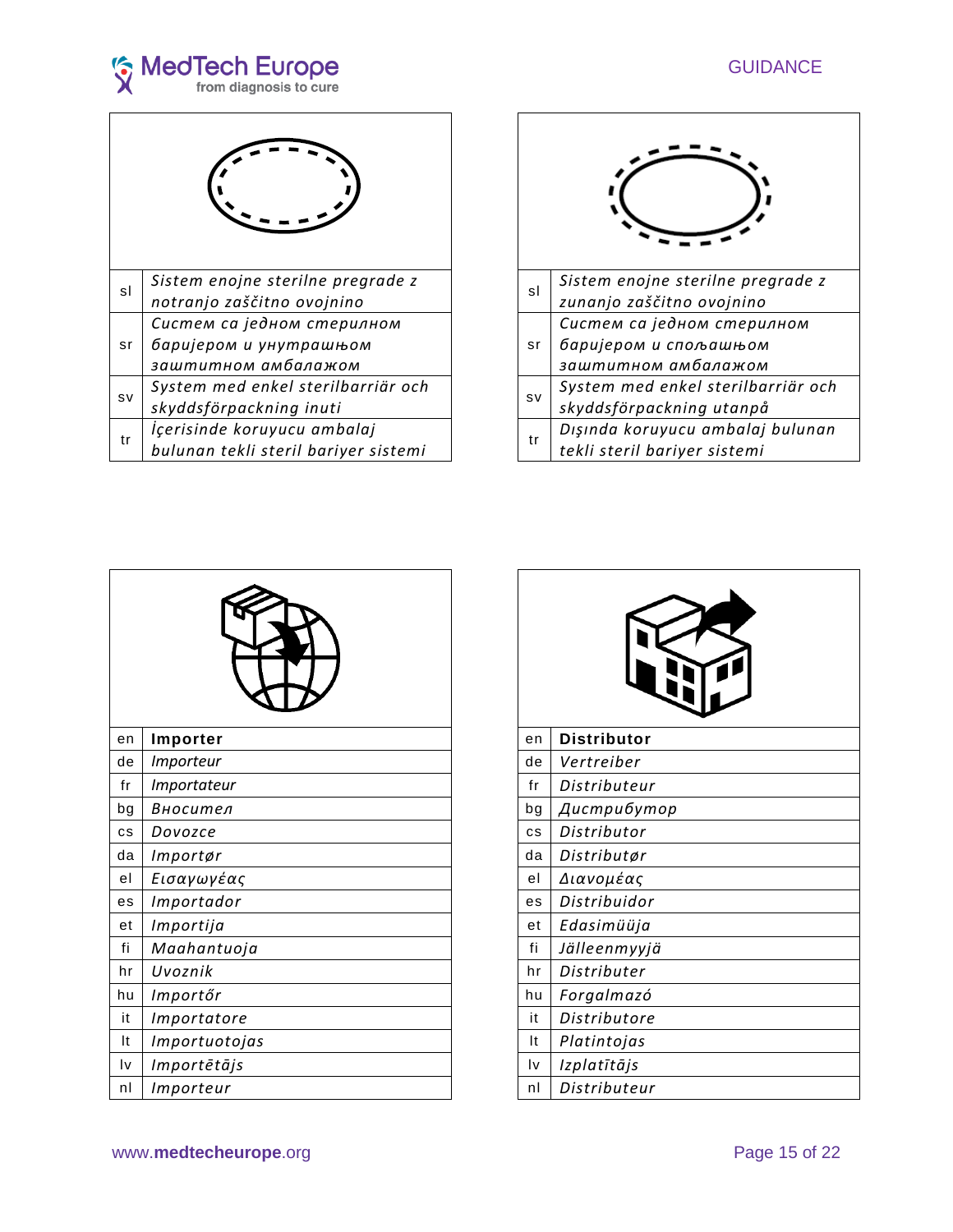

| sl        | Sistem enojne sterilne pregrade z<br>notranjo zaščitno ovojnino     | sl |
|-----------|---------------------------------------------------------------------|----|
|           | Систем са једном стерилном                                          |    |
| sr        | баријером и унутрашњом<br>заштитном амбалажом                       | sr |
| <b>SV</b> | System med enkel sterilbarriär och<br>skyddsförpackning inuti       | sv |
| tr        | İçerisinde koruyucu ambalaj<br>bulunan tekli steril bariyer sistemi | tr |



| en | Importer      | en                     | <b>Distributor</b> |
|----|---------------|------------------------|--------------------|
| de | Importeur     | de                     | Vertreiber         |
| fr | Importateur   | fr                     | Distributeur       |
| bg | Вносител      | bg                     | Дистрибутор        |
| cs | Dovozce       | <b>CS</b>              | Distributor        |
| da | Importør      | da                     | Distributør        |
| el | Εισαγωγέας    | el                     | Διανομέας          |
| es | Importador    | es                     | Distribuidor       |
| et | Importija     | et                     | Edasimüüja         |
| fi | Maahantuoja   | fi                     | Jälleenmyyjä       |
| hr | Uvoznik       | hr                     | Distributer        |
| hu | Importőr      | hu                     | Forgalmazó         |
| it | Importatore   | it                     | Distributore       |
| It | Importuotojas | It                     | Platintojas        |
| I٧ | Importētājs   | $\mathsf{I}\mathsf{v}$ | Izplatītājs        |
| nl | Importeur     | nl                     | Distributeur       |

| en | <b>Distributor</b> |
|----|--------------------|
| de | Vertreiber         |
| fr | Distributeur       |
| bg | Дистрибутор        |
| cs | Distributor        |
| da | Distributør        |
| el | Διανομέας          |
| es | Distribuidor       |
| et | Edasimüüja         |
| fi | Jälleenmyyjä       |
| hr | Distributer        |
| hu | Forgalmazó         |
| it | Distributore       |
| It | Platintojas        |
| l٧ | Izplatītājs        |
| nl | Distributeur       |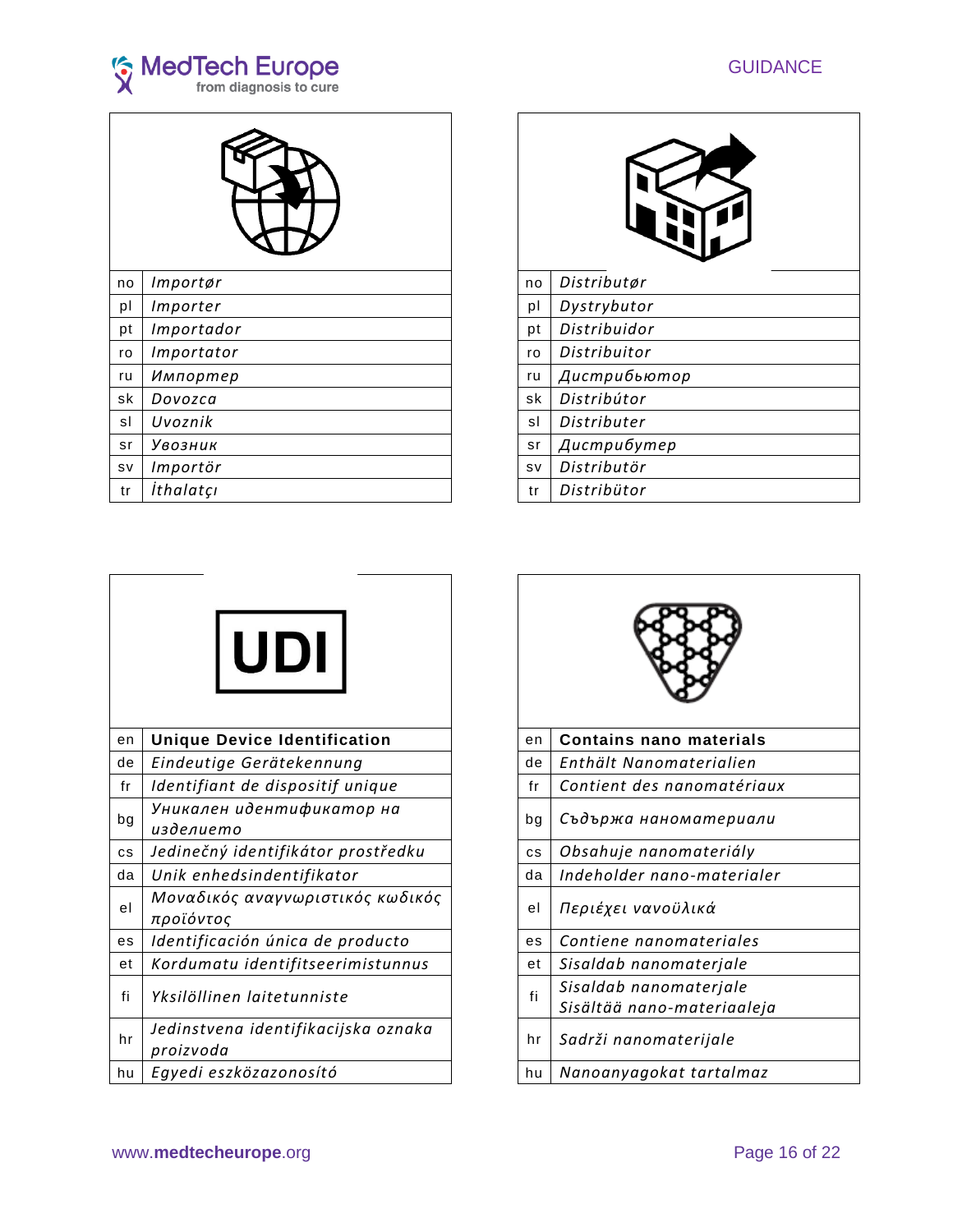



| no        | Importør   | no        | Distributør  |
|-----------|------------|-----------|--------------|
| pl        | Importer   | pl        | Dystrybutor  |
| pt        | Importador | pt        | Distribuidor |
| ro        | Importator | ro        | Distribuitor |
| ru        | Импортер   | ru        | Дистрибьютор |
| sk        | Dovozca    | sk        | Distribútor  |
| sl        | Uvoznik    | sl        | Distributer  |
| sr        | Увозник    | sr        | Дистрибутер  |
| <b>SV</b> | Importör   | <b>SV</b> | Distributör  |
| tr        | İthalatçı  | tr        | Distribütor  |
|           |            |           |              |

| no | Distributør  |
|----|--------------|
| рI | Dystrybutor  |
| pt | Distribuidor |
| ro | Distribuitor |
| ru | Дистрибьютор |
| sk | Distribútor  |
| sl | Distributer  |
| sr | Дистрибутер  |
| sv | Distributör  |
| tr | Distribütor  |



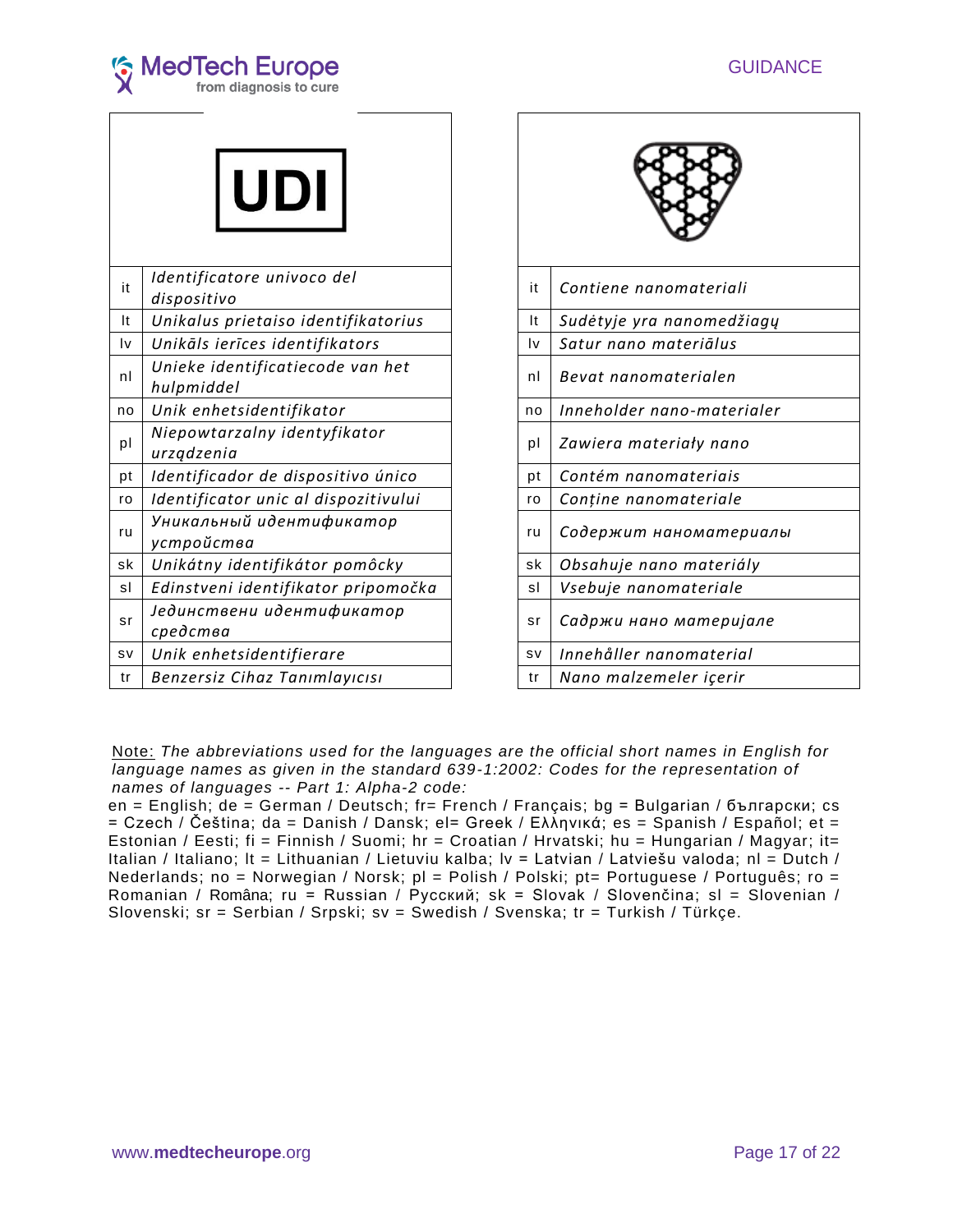



|           | <b>UDI</b>                                     |           |                            |
|-----------|------------------------------------------------|-----------|----------------------------|
| it        | Identificatore univoco del<br>dispositivo      | it        | Contiene nanomateriali     |
| It        | Unikalus prietaiso identifikatorius            | It        | Sudėtyje yra nanomedžiagų  |
| I٧        | Unikāls ierīces identifikators                 | Iv        | Satur nano materiālus      |
| nl        | Unieke identificatiecode van het<br>hulpmiddel | nl        | Bevat nanomaterialen       |
| no        | Unik enhetsidentifikator                       | no        | Inneholder nano-materialer |
| pl        | Niepowtarzalny identyfikator<br>urządzenia     | pl        | Zawiera materiały nano     |
| pt        | Identificador de dispositivo único             | рt        | Contém nanomateriais       |
| ro        | Identificator unic al dispozitivului           | ro        | Conține nanomateriale      |
| ru        | Уникальный идентификатор<br>устройства         | ru        | Содержит наноматериалы     |
| sk        | Unikátny identifikátor pomôcky                 | sk        | Obsahuje nano materiály    |
| sl        | Edinstveni identifikator pripomočka            | sl        | Vsebuje nanomateriale      |
| sr        | Јединствени идентификатор<br>средства          | sr        | Садржи нано материјале     |
| <b>SV</b> | Unik enhetsidentifierare                       | <b>SV</b> | Innehåller nanomaterial    |
| tr        | Benzersiz Cihaz Tanımlayıcısı                  | tr        | Nano malzemeler içerir     |

| Contiene nanomateriali     |  |  |  |
|----------------------------|--|--|--|
| Sudėtyje yra nanomedžiagų  |  |  |  |
| Satur nano materiālus      |  |  |  |
| Bevat nanomaterialen       |  |  |  |
| Inneholder nano-materialer |  |  |  |
| Zawiera materiały nano     |  |  |  |
| Contém nanomateriais       |  |  |  |
| Conține nanomateriale      |  |  |  |
| Содержит наноматериалы     |  |  |  |
| Obsahuje nano materiály    |  |  |  |
| Vsebuje nanomateriale      |  |  |  |
| Садржи нано материјале     |  |  |  |
| Innehåller nanomaterial    |  |  |  |
| Nano malzemeler içerir     |  |  |  |
|                            |  |  |  |

Note: *The abbreviations used for the languages are the official short names in English for language names as given in the standard 639-1:2002: Codes for the representation of names of languages -- Part 1: Alpha-2 code:*

en = English; de = German / Deutsch; fr= French / Français; bg = Bulgarian / български; cs = Czech / Čeština; da = Danish / Dansk; el= Greek / Еλληνικά; es = Spanish / Español; et = Estonian / Eesti; fi = Finnish / Suomi; hr = Croatian / Hrvatski; hu = Hungarian / Magyar; it= Italian / Italiano; lt = Lithuanian / Lietuviu kalba; lv = Latvian / Latviešu valoda; nl = Dutch / Nederlands; no = Norwegian / Norsk; pl = Polish / Polski; pt= Portuguese / Português; ro = Romanian / Româna; ru = Russian / Русский; sk = Slovak / Slovenčina; sl = Slovenian / Slovenski; sr = Serbian / Srpski; sv = Swedish / Svenska; tr = Turkish / Türkçe.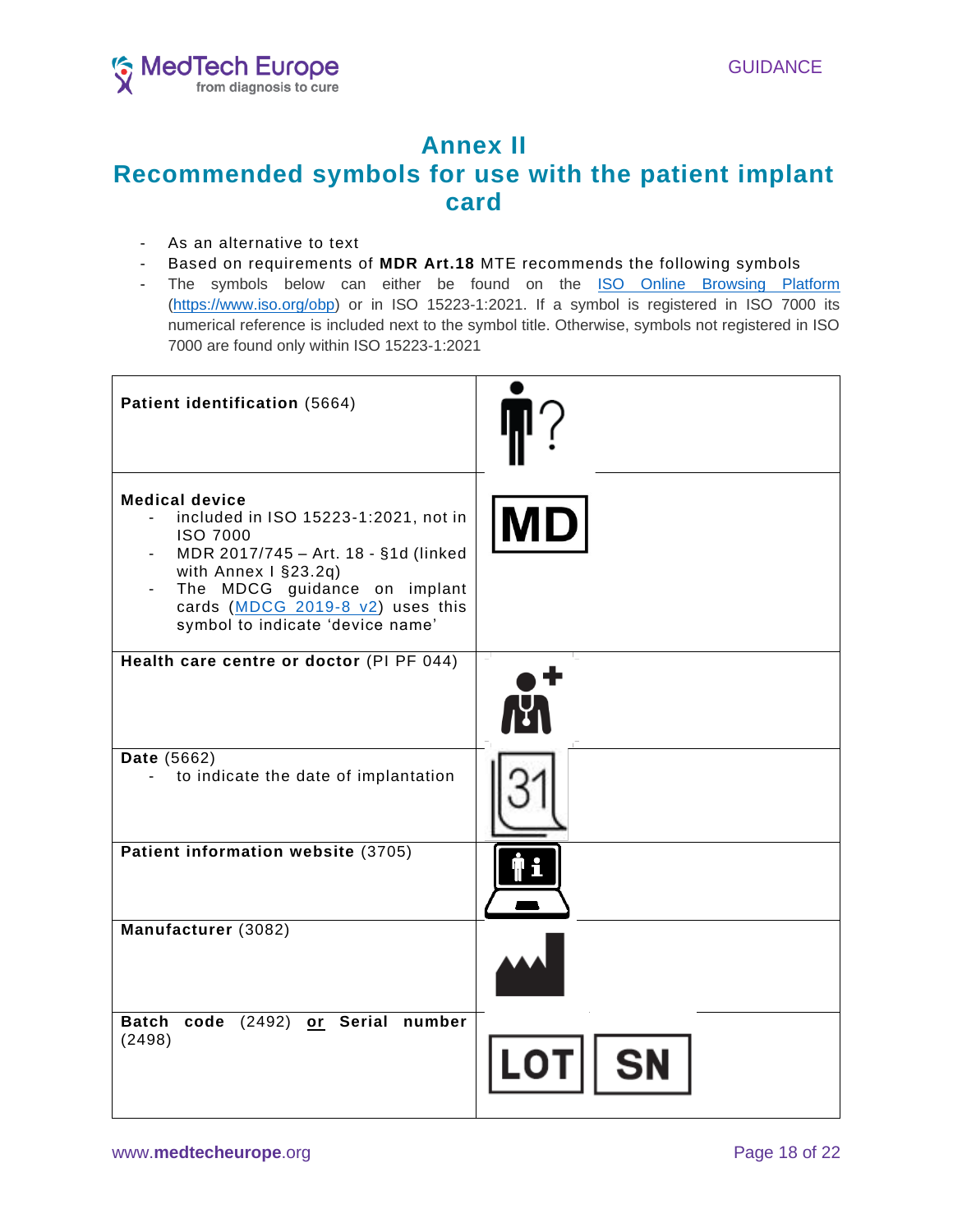

# **Annex II Recommended symbols for use with the patient implant card**

- As an alternative to text
- Based on requirements of **MDR Art.18** MTE recommends the following symbols
- The symbols below can either be found on the [ISO Online Browsing Platform](https://www.iso.org/obp/ui/#home) [\(https://www.iso.org/obp\)](https://www.iso.org/obp) or in ISO 15223-1:2021. If a symbol is registered in ISO 7000 its numerical reference is included next to the symbol title. Otherwise, symbols not registered in ISO 7000 are found only within ISO 15223-1:2021

| Patient identification (5664)                                                                                                                                                                                                                            |           |
|----------------------------------------------------------------------------------------------------------------------------------------------------------------------------------------------------------------------------------------------------------|-----------|
| <b>Medical device</b><br>included in ISO 15223-1:2021, not in<br><b>ISO 7000</b><br>MDR 2017/745 - Art. 18 - §1d (linked<br>with Annex I §23.2q)<br>The MDCG guidance on implant<br>cards (MDCG 2019-8 v2) uses this<br>symbol to indicate 'device name' | <b>MD</b> |
| Health care centre or doctor (PI PF 044)                                                                                                                                                                                                                 |           |
| Date (5662)<br>to indicate the date of implantation                                                                                                                                                                                                      |           |
| Patient information website (3705)                                                                                                                                                                                                                       |           |
| Manufacturer (3082)                                                                                                                                                                                                                                      |           |
| Batch code (2492) or Serial number<br>(2498)                                                                                                                                                                                                             |           |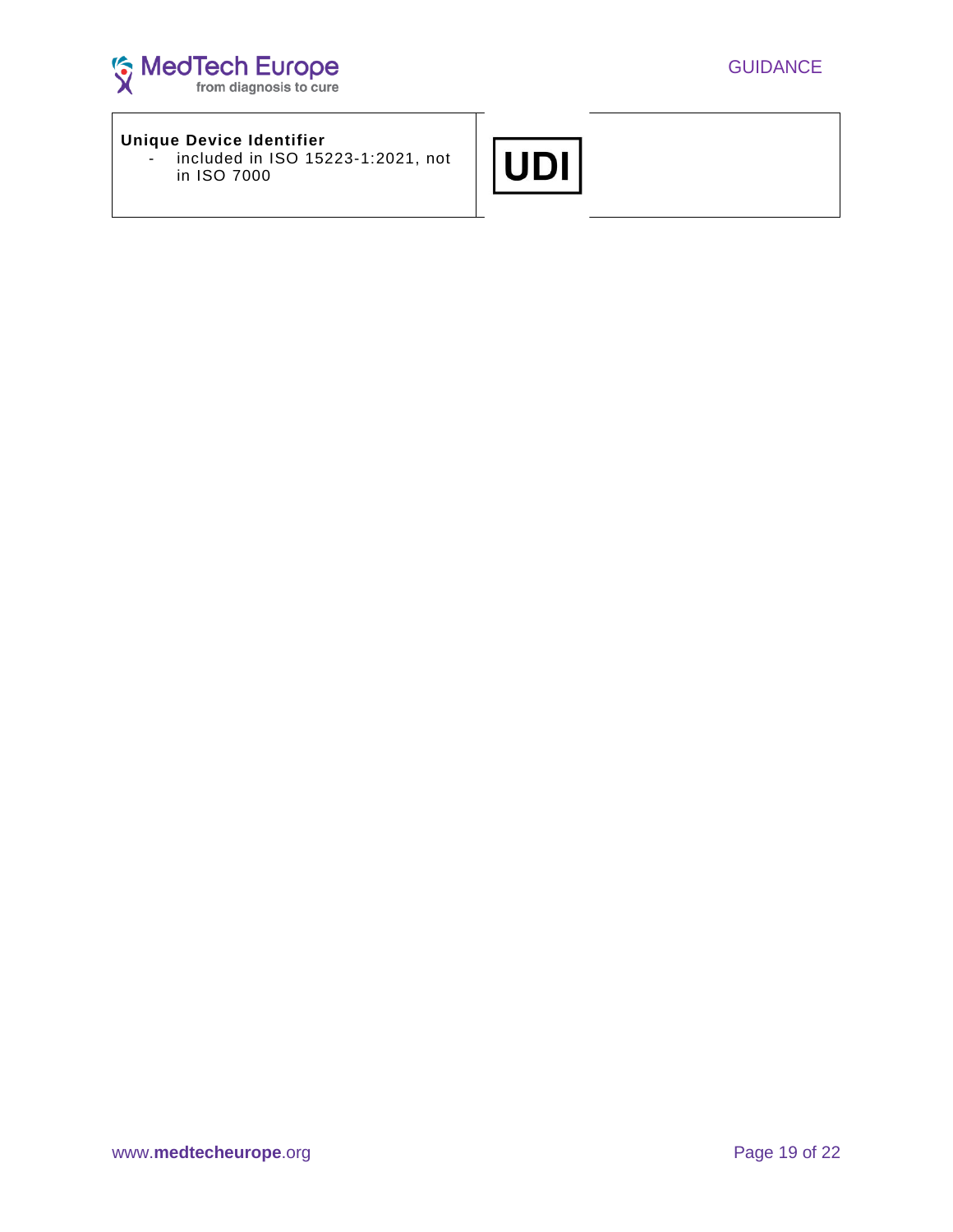

### **Unique Device Identifier**

- included in ISO 15223-1:2021, not in ISO 7000

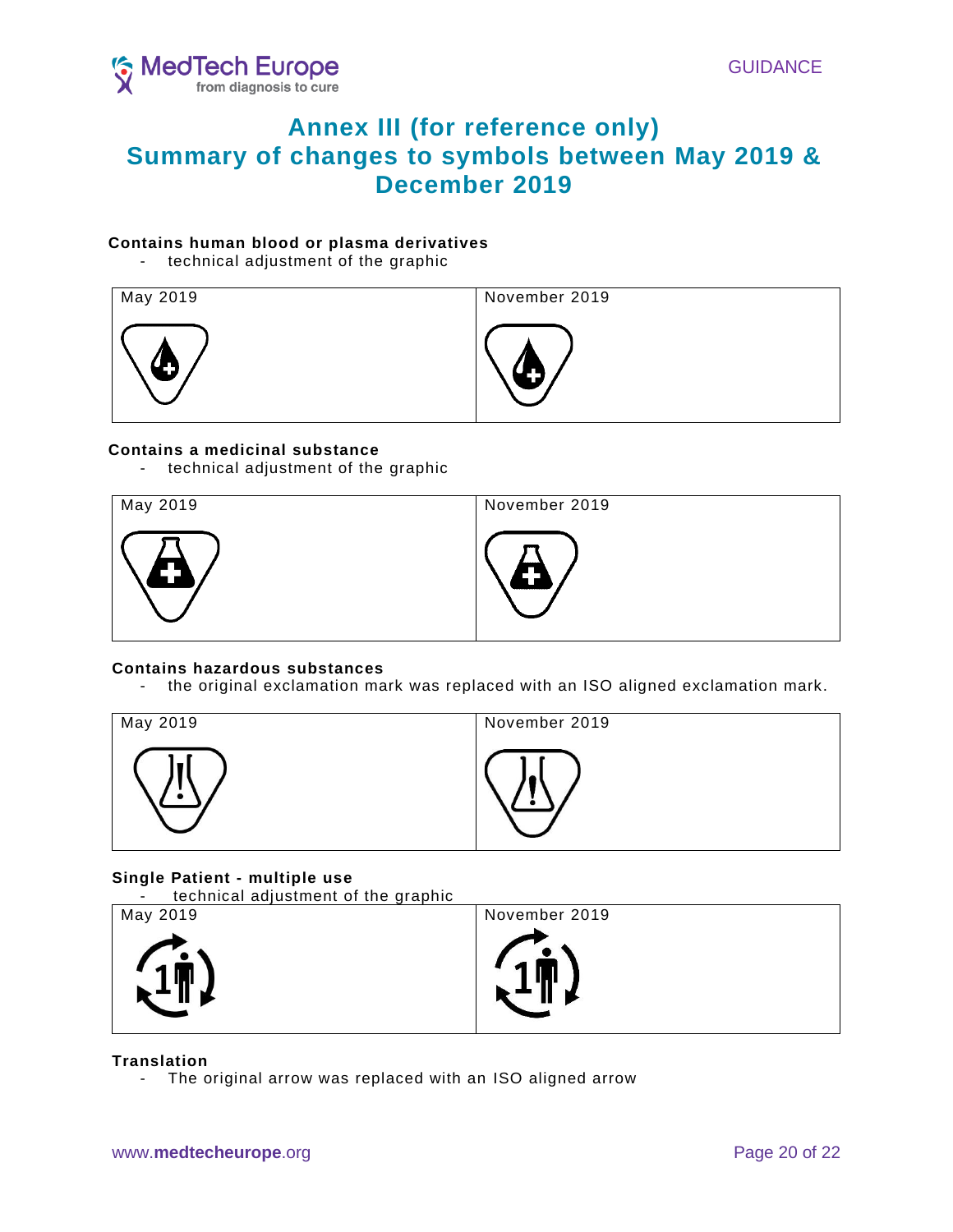

# **Annex III (for reference only) Summary of changes to symbols between May 2019 & December 2019**

### **Contains human blood or plasma derivatives**

- technical adjustment of the graphic

| May 2019 | November 2019 |
|----------|---------------|
| 9 M      |               |

### **Contains a medicinal substance**

- technical adjustment of the graphic



### **Contains hazardous substances**

- the original exclamation mark was replaced with an ISO aligned exclamation mark.

| May 2019 | November 2019 |
|----------|---------------|
|          |               |

## **Single Patient - multiple use**

- technical adjustment of the graphic

| May 2019 | November 2019 |
|----------|---------------|
| $\sim$   | $\mathbf{L}$  |
| T        | T             |

### **Translation**

- The original arrow was replaced with an ISO aligned arrow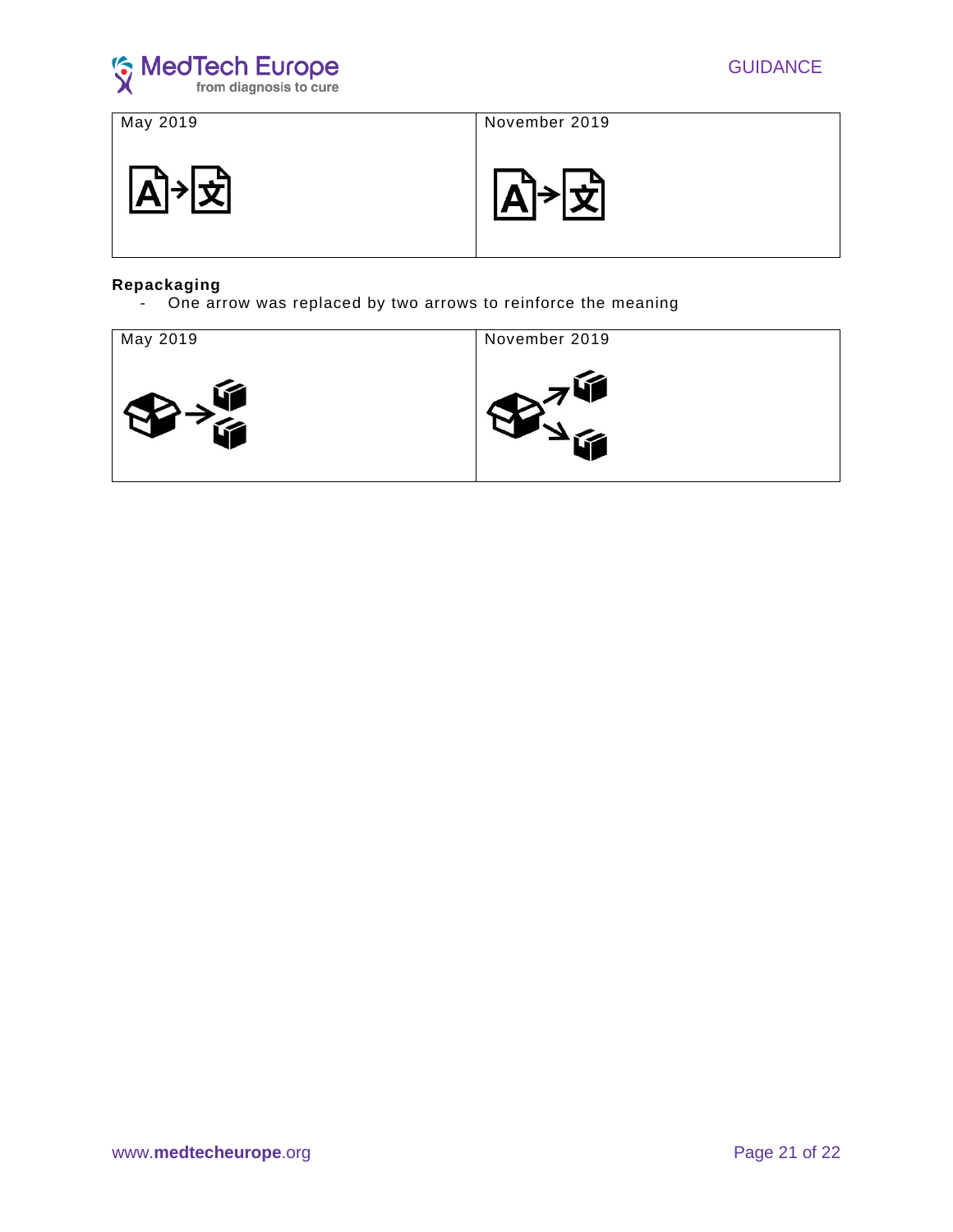

May 2019 November 2019

≮|A∣



### **Repackaging**

- One arrow was replaced by two arrows to reinforce the meaning